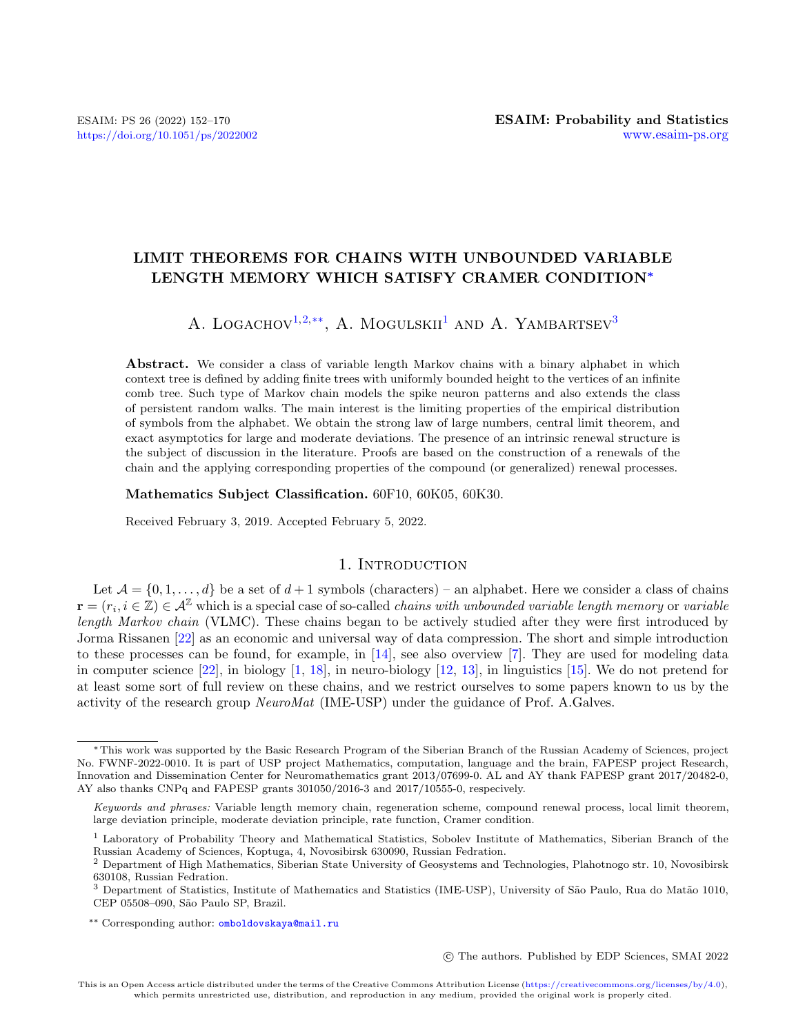## LIMIT THEOREMS FOR CHAINS WITH UNBOUNDED VARIABLE LENGTH MEMORY WHICH SATISFY CRAMER CONDITION<sup>∗</sup>

## A. LOGACHOV<sup>[1,](#page-0-0)[2,](#page-0-1)[\\*\\*](#page-0-2)</sup>, A. MOGULSKII<sup>[1](#page-0-0)</sup> AND A. YAMBARTSEV<sup>[3](#page-0-3)</sup>

Abstract. We consider a class of variable length Markov chains with a binary alphabet in which context tree is defined by adding finite trees with uniformly bounded height to the vertices of an infinite comb tree. Such type of Markov chain models the spike neuron patterns and also extends the class of persistent random walks. The main interest is the limiting properties of the empirical distribution of symbols from the alphabet. We obtain the strong law of large numbers, central limit theorem, and exact asymptotics for large and moderate deviations. The presence of an intrinsic renewal structure is the subject of discussion in the literature. Proofs are based on the construction of a renewals of the chain and the applying corresponding properties of the compound (or generalized) renewal processes.

Mathematics Subject Classification. 60F10, 60K05, 60K30.

Received February 3, 2019. Accepted February 5, 2022.

### 1. INTRODUCTION

Let  $\mathcal{A} = \{0, 1, \ldots, d\}$  be a set of  $d+1$  symbols (characters) – an alphabet. Here we consider a class of chains  $\mathbf{r}=(r_i,i\in\mathbb{Z})\in\mathcal{A}^{\mathbb{Z}}$  which is a special case of so-called *chains with unbounded variable length memory* or *variable* length Markov chain (VLMC). These chains began to be actively studied after they were first introduced by Jorma Rissanen [\[22\]](#page-18-0) as an economic and universal way of data compression. The short and simple introduction to these processes can be found, for example, in [\[14\]](#page-18-1), see also overview [\[7\]](#page-18-2). They are used for modeling data in computer science  $[22]$ , in biology  $[1, 18]$  $[1, 18]$  $[1, 18]$ , in neuro-biology  $[12, 13]$  $[12, 13]$  $[12, 13]$ , in linguistics  $[15]$ . We do not pretend for at least some sort of full review on these chains, and we restrict ourselves to some papers known to us by the activity of the research group NeuroMat (IME-USP) under the guidance of Prof. A.Galves.

c The authors. Published by EDP Sciences, SMAI 2022

<sup>∗</sup>This work was supported by the Basic Research Program of the Siberian Branch of the Russian Academy of Sciences, project No. FWNF-2022-0010. It is part of USP project Mathematics, computation, language and the brain, FAPESP project Research, Innovation and Dissemination Center for Neuromathematics grant 2013/07699-0. AL and AY thank FAPESP grant 2017/20482-0, AY also thanks CNPq and FAPESP grants 301050/2016-3 and 2017/10555-0, respecively.

<span id="page-0-2"></span>Keywords and phrases: Variable length memory chain, regeneration scheme, compound renewal process, local limit theorem, large deviation principle, moderate deviation principle, rate function, Cramer condition.

<span id="page-0-0"></span><sup>&</sup>lt;sup>1</sup> Laboratory of Probability Theory and Mathematical Statistics, Sobolev Institute of Mathematics, Siberian Branch of the Russian Academy of Sciences, Koptuga, 4, Novosibirsk 630090, Russian Fedration.

<span id="page-0-1"></span><sup>2</sup> Department of High Mathematics, Siberian State University of Geosystems and Technologies, Plahotnogo str. 10, Novosibirsk 630108, Russian Fedration.

<span id="page-0-3"></span><sup>&</sup>lt;sup>3</sup> Department of Statistics, Institute of Mathematics and Statistics (IME-USP), University of São Paulo, Rua do Matão 1010, CEP 05508-090, São Paulo SP, Brazil.

<sup>\*\*</sup> Corresponding author: [omboldovskaya@mail.ru](mailto:omboldovskaya@mail.ru)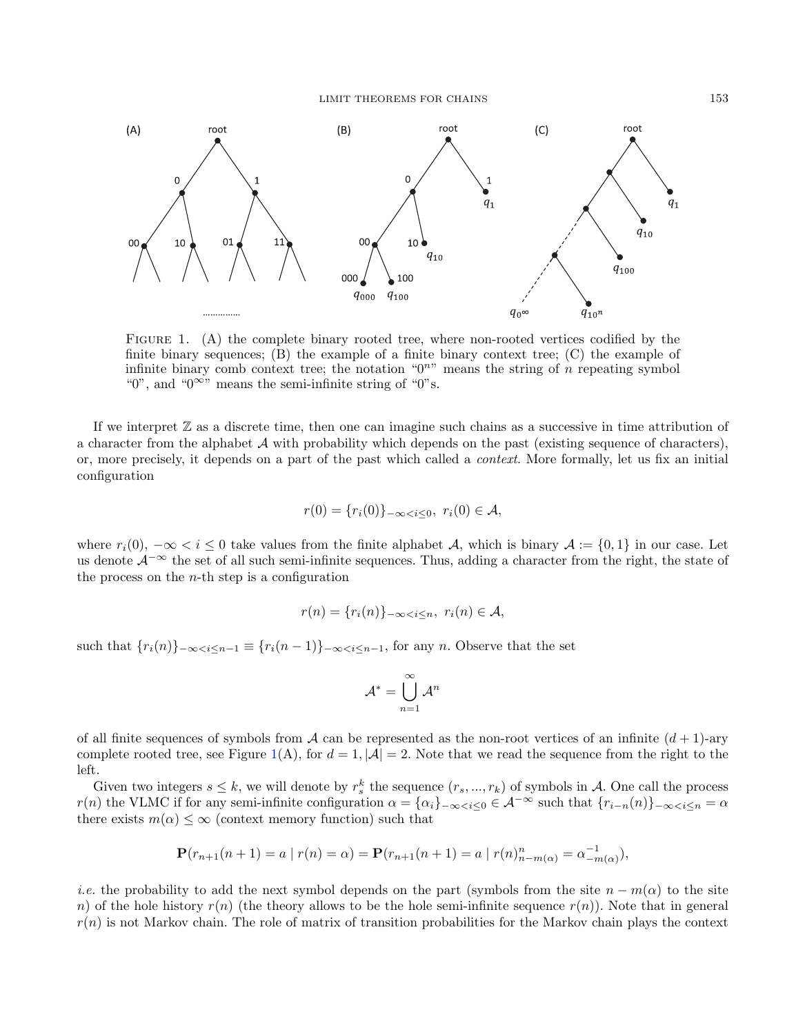

<span id="page-1-0"></span>FIGURE 1. (A) the complete binary rooted tree, where non-rooted vertices codified by the finite binary sequences;  $(B)$  the example of a finite binary context tree;  $(C)$  the example of infinite binary comb context tree; the notation " $0<sup>n</sup>$ " means the string of n repeating symbol "0", and "0 $\infty$ " means the semi-infinite string of "0"s.

If we interpret  $\mathbb Z$  as a discrete time, then one can imagine such chains as a successive in time attribution of a character from the alphabet  $A$  with probability which depends on the past (existing sequence of characters), or, more precisely, it depends on a part of the past which called a context. More formally, let us fix an initial configuration

$$
r(0) = \{r_i(0)\}_{-\infty < i \le 0}, \ r_i(0) \in \mathcal{A},
$$

where  $r_i(0)$ ,  $-\infty < i \leq 0$  take values from the finite alphabet A, which is binary  $\mathcal{A} := \{0,1\}$  in our case. Let us denote  $\mathcal{A}^{-\infty}$  the set of all such semi-infinite sequences. Thus, adding a character from the right, the state of the process on the  $n$ -th step is a configuration

$$
r(n) = \{r_i(n)\}_{-\infty < i \le n}, \ r_i(n) \in \mathcal{A},
$$

such that  ${r_i(n)}_{-\infty < i \leq n-1} \equiv {r_i(n-1)}_{-\infty < i \leq n-1}$ , for any n. Observe that the set

$$
\mathcal{A}^* = \bigcup_{n=1}^{\infty} \mathcal{A}^n
$$

of all finite sequences of symbols from A can be represented as the non-root vertices of an infinite  $(d+1)$ -ary complete rooted tree, see Figure [1\(](#page-1-0)A), for  $d = 1$ ,  $|\mathcal{A}| = 2$ . Note that we read the sequence from the right to the left.

Given two integers  $s \leq k$ , we will denote by  $r_s^k$  the sequence  $(r_s, ..., r_k)$  of symbols in A. One call the process  $r(n)$  the VLMC if for any semi-infinite configuration  $\alpha = {\alpha_i}_{-\infty \leq i \leq 0} \in \mathcal{A}^{-\infty}$  such that  ${r_{i-n}(n)}_{-\infty \leq i \leq n} = \alpha$ there exists  $m(\alpha) \leq \infty$  (context memory function) such that

$$
\mathbf{P}(r_{n+1}(n+1) = a \mid r(n) = \alpha) = \mathbf{P}(r_{n+1}(n+1) = a \mid r(n)_{n-m(\alpha)}^n = \alpha_{-m(\alpha)}^{-1}),
$$

*i.e.* the probability to add the next symbol depends on the part (symbols from the site  $n - m(\alpha)$  to the site n) of the hole history  $r(n)$  (the theory allows to be the hole semi-infinite sequence  $r(n)$ ). Note that in general  $r(n)$  is not Markov chain. The role of matrix of transition probabilities for the Markov chain plays the context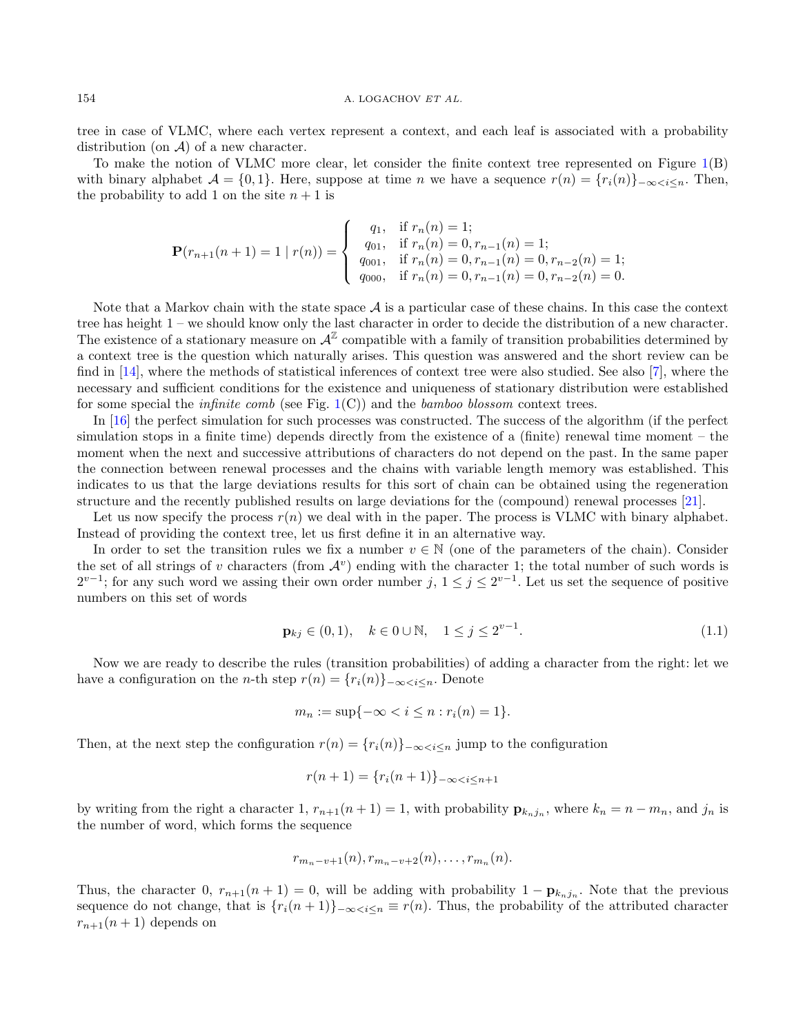tree in case of VLMC, where each vertex represent a context, and each leaf is associated with a probability distribution (on  $A$ ) of a new character.

To make the notion of VLMC more clear, let consider the finite context tree represented on Figure [1\(](#page-1-0)B) with binary alphabet  $\mathcal{A} = \{0, 1\}$ . Here, suppose at time n we have a sequence  $r(n) = \{r_i(n)\}\subset \infty$ the probability to add 1 on the site  $n + 1$  is

$$
\mathbf{P}(r_{n+1}(n+1) = 1 \mid r(n)) = \begin{cases} q_1, & \text{if } r_n(n) = 1; \\ q_{01}, & \text{if } r_n(n) = 0, r_{n-1}(n) = 1; \\ q_{001}, & \text{if } r_n(n) = 0, r_{n-1}(n) = 0, r_{n-2}(n) = 1; \\ q_{000}, & \text{if } r_n(n) = 0, r_{n-1}(n) = 0, r_{n-2}(n) = 0. \end{cases}
$$

Note that a Markov chain with the state space  $A$  is a particular case of these chains. In this case the context tree has height 1 – we should know only the last character in order to decide the distribution of a new character. The existence of a stationary measure on  $\mathcal{A}^{\mathbb{Z}}$  compatible with a family of transition probabilities determined by a context tree is the question which naturally arises. This question was answered and the short review can be find in [\[14\]](#page-18-1), where the methods of statistical inferences of context tree were also studied. See also [\[7\]](#page-18-2), where the necessary and sufficient conditions for the existence and uniqueness of stationary distribution were established for some special the *infinite comb* (see Fig.  $1(C)$  $1(C)$ ) and the *bamboo blossom* context trees.

In [\[16\]](#page-18-7) the perfect simulation for such processes was constructed. The success of the algorithm (if the perfect simulation stops in a finite time) depends directly from the existence of a (finite) renewal time moment – the moment when the next and successive attributions of characters do not depend on the past. In the same paper the connection between renewal processes and the chains with variable length memory was established. This indicates to us that the large deviations results for this sort of chain can be obtained using the regeneration structure and the recently published results on large deviations for the (compound) renewal processes [\[21\]](#page-18-8).

Let us now specify the process  $r(n)$  we deal with in the paper. The process is VLMC with binary alphabet. Instead of providing the context tree, let us first define it in an alternative way.

In order to set the transition rules we fix a number  $v \in \mathbb{N}$  (one of the parameters of the chain). Consider the set of all strings of v characters (from  $\mathcal{A}^v$ ) ending with the character 1; the total number of such words is  $2^{v-1}$ ; for any such word we assing their own order number  $j, 1 \leq j \leq 2^{v-1}$ . Let us set the sequence of positive numbers on this set of words

<span id="page-2-0"></span>
$$
\mathbf{p}_{kj} \in (0,1), \quad k \in 0 \cup \mathbb{N}, \quad 1 \le j \le 2^{v-1}.
$$
 (1.1)

Now we are ready to describe the rules (transition probabilities) of adding a character from the right: let we have a configuration on the *n*-th step  $r(n) = \{r_i(n)\}_{-\infty \leq i \leq n}$ . Denote

$$
m_n := \sup\{-\infty < i \le n : r_i(n) = 1\}.
$$

Then, at the next step the configuration  $r(n) = \{r_i(n)\}_{-\infty \leq i \leq n}$  jump to the configuration

$$
r(n+1) = \{r_i(n+1)\}_{-\infty < i \le n+1}
$$

by writing from the right a character 1,  $r_{n+1}(n+1) = 1$ , with probability  $\mathbf{p}_{k_n j_n}$ , where  $k_n = n - m_n$ , and  $j_n$  is the number of word, which forms the sequence

$$
r_{m_n-v+1}(n), r_{m_n-v+2}(n), \ldots, r_{m_n}(n).
$$

Thus, the character 0,  $r_{n+1}(n+1) = 0$ , will be adding with probability  $1 - \mathbf{p}_{k_n j_n}$ . Note that the previous sequence do not change, that is  $\{r_i(n+1)\}_{-\infty\leq i\leq n}\equiv r(n)$ . Thus, the probability of the attributed character  $r_{n+1}(n+1)$  depends on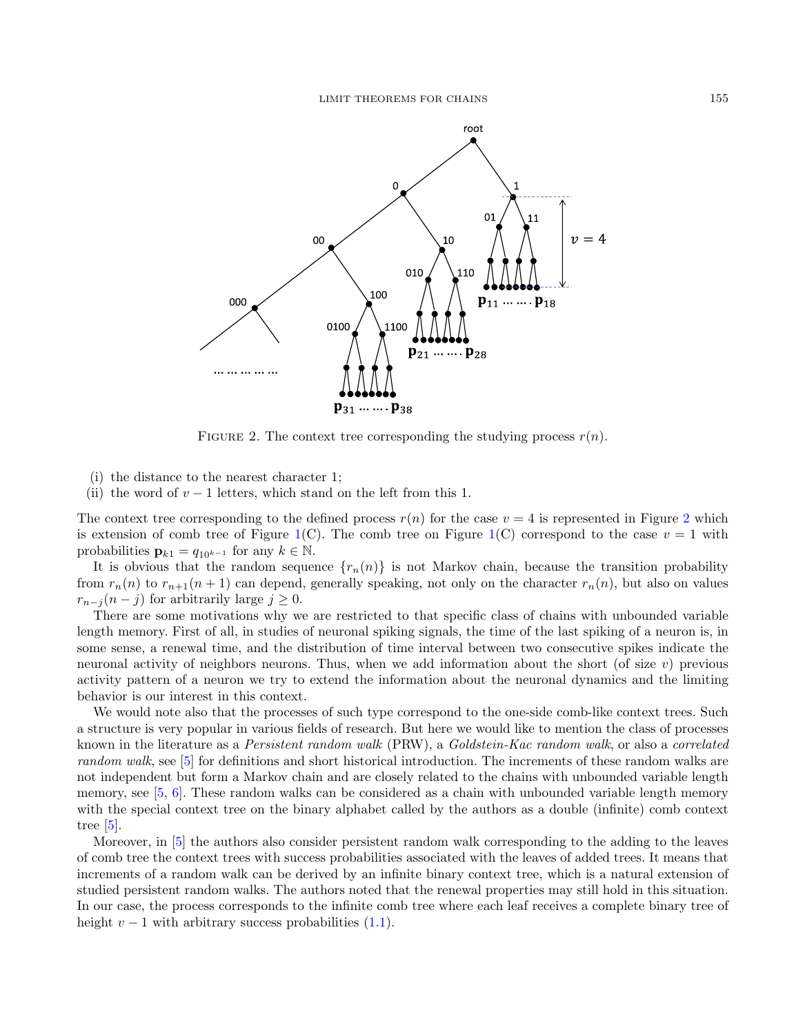

<span id="page-3-0"></span>FIGURE 2. The context tree corresponding the studying process  $r(n)$ .

- (i) the distance to the nearest character 1;
- (ii) the word of  $v 1$  letters, which stand on the left from this 1.

The context tree corresponding to the defined process  $r(n)$  for the case  $v = 4$  is represented in Figure [2](#page-3-0) which is extension of comb tree of Figure [1\(](#page-1-0)C). The comb tree on Figure 1(C) correspond to the case  $v = 1$  with probabilities  $\mathbf{p}_{k1} = q_{10^{k-1}}$  for any  $k \in \mathbb{N}$ .

It is obvious that the random sequence  $\{r_n(n)\}\$ is not Markov chain, because the transition probability from  $r_n(n)$  to  $r_{n+1}(n+1)$  can depend, generally speaking, not only on the character  $r_n(n)$ , but also on values  $r_{n-i}(n-j)$  for arbitrarily large  $j \geq 0$ .

There are some motivations why we are restricted to that specific class of chains with unbounded variable length memory. First of all, in studies of neuronal spiking signals, the time of the last spiking of a neuron is, in some sense, a renewal time, and the distribution of time interval between two consecutive spikes indicate the neuronal activity of neighbors neurons. Thus, when we add information about the short (of size v) previous activity pattern of a neuron we try to extend the information about the neuronal dynamics and the limiting behavior is our interest in this context.

We would note also that the processes of such type correspond to the one-side comb-like context trees. Such a structure is very popular in various fields of research. But here we would like to mention the class of processes known in the literature as a Persistent random walk (PRW), a Goldstein-Kac random walk, or also a correlated random walk, see [\[5\]](#page-18-9) for definitions and short historical introduction. The increments of these random walks are not independent but form a Markov chain and are closely related to the chains with unbounded variable length memory, see [\[5,](#page-18-9) [6\]](#page-18-10). These random walks can be considered as a chain with unbounded variable length memory with the special context tree on the binary alphabet called by the authors as a double (infinite) comb context tree [\[5\]](#page-18-9).

Moreover, in [\[5\]](#page-18-9) the authors also consider persistent random walk corresponding to the adding to the leaves of comb tree the context trees with success probabilities associated with the leaves of added trees. It means that increments of a random walk can be derived by an infinite binary context tree, which is a natural extension of studied persistent random walks. The authors noted that the renewal properties may still hold in this situation. In our case, the process corresponds to the infinite comb tree where each leaf receives a complete binary tree of height  $v - 1$  with arbitrary success probabilities  $(1.1)$ .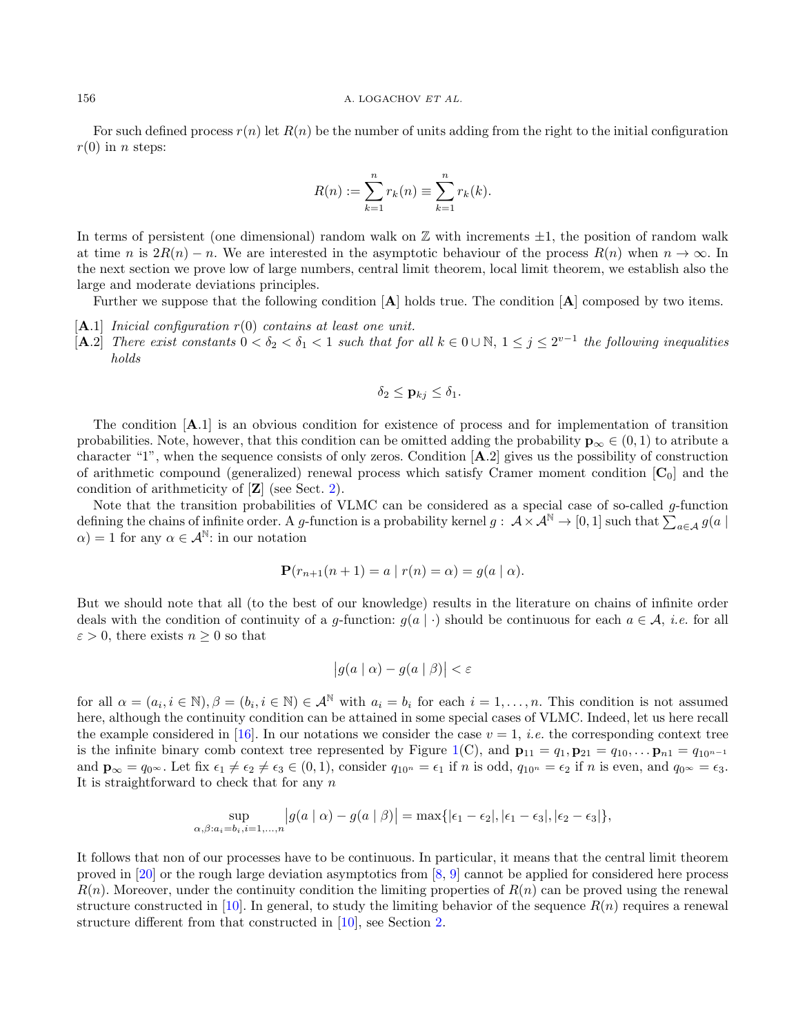For such defined process  $r(n)$  let  $R(n)$  be the number of units adding from the right to the initial configuration  $r(0)$  in *n* steps:

$$
R(n) := \sum_{k=1}^{n} r_k(n) \equiv \sum_{k=1}^{n} r_k(k).
$$

In terms of persistent (one dimensional) random walk on  $\mathbb Z$  with increments  $\pm 1$ , the position of random walk at time n is  $2R(n) - n$ . We are interested in the asymptotic behaviour of the process  $R(n)$  when  $n \to \infty$ . In the next section we prove low of large numbers, central limit theorem, local limit theorem, we establish also the large and moderate deviations principles.

Further we suppose that the following condition  $[A]$  holds true. The condition  $[A]$  composed by two items.

- $[A.1]$  Inicial configuration  $r(0)$  contains at least one unit.
- [A.2] There exist constants  $0 < \delta_2 < \delta_1 < 1$  such that for all  $k \in 0 \cup \mathbb{N}$ ,  $1 \le j \le 2^{v-1}$  the following inequalities holds

$$
\delta_2 \leq \mathbf{p}_{kj} \leq \delta_1.
$$

The condition [A.1] is an obvious condition for existence of process and for implementation of transition probabilities. Note, however, that this condition can be omitted adding the probability  $\mathbf{p}_{\infty} \in (0,1)$  to atribute a character "1", when the sequence consists of only zeros. Condition [A.2] gives us the possibility of construction of arithmetic compound (generalized) renewal process which satisfy Cramer moment condition  $[C_0]$  and the condition of arithmeticity of [Z] (see Sect. [2\)](#page-5-0).

Note that the transition probabilities of VLMC can be considered as a special case of so-called g-function defining the chains of infinite order. A g-function is a probability kernel  $g: \mathcal{A} \times \mathcal{A}^{\mathbb{N}} \to [0,1]$  such that  $\sum_{a \in \mathcal{A}} g(a \mid a)$  $\alpha$ ) = 1 for any  $\alpha \in \mathcal{A}^{\mathbb{N}}$ : in our notation

$$
\mathbf{P}(r_{n+1}(n+1) = a | r(n) = \alpha) = g(a | \alpha).
$$

But we should note that all (to the best of our knowledge) results in the literature on chains of infinite order deals with the condition of continuity of a g-function:  $g(a \mid \cdot)$  should be continuous for each  $a \in A$ , *i.e.* for all  $\varepsilon > 0$ , there exists  $n \geq 0$  so that

$$
\big|g(a\mid\alpha)-g(a\mid\beta)\big|<\varepsilon
$$

for all  $\alpha = (a_i, i \in \mathbb{N}), \beta = (b_i, i \in \mathbb{N}) \in \mathcal{A}^{\mathbb{N}}$  with  $a_i = b_i$  for each  $i = 1, \ldots, n$ . This condition is not assumed here, although the continuity condition can be attained in some special cases of VLMC. Indeed, let us here recall the example considered in [\[16\]](#page-18-7). In our notations we consider the case  $v = 1$ , *i.e.* the corresponding context tree is the infinite binary comb context tree represented by Figure [1\(](#page-1-0)C), and  $\mathbf{p}_{11} = q_1, \mathbf{p}_{21} = q_{10}, \dots \mathbf{p}_{n1} = q_{10^{n-1}}$ and  $\mathbf{p}_{\infty} = q_0 \infty$ . Let fix  $\epsilon_1 \neq \epsilon_2 \neq \epsilon_3 \in (0, 1)$ , consider  $q_{10^n} = \epsilon_1$  if n is odd,  $q_{10^n} = \epsilon_2$  if n is even, and  $q_0 \in \epsilon_3$ . It is straightforward to check that for any  $n$ 

$$
\sup_{\alpha,\beta:a_i=b_i,i=1,\dots,n} |g(a \mid \alpha) - g(a \mid \beta)| = \max\{|\epsilon_1 - \epsilon_2|, |\epsilon_1 - \epsilon_3|, |\epsilon_2 - \epsilon_3|\},\
$$

It follows that non of our processes have to be continuous. In particular, it means that the central limit theorem proved in [\[20\]](#page-18-11) or the rough large deviation asymptotics from [\[8,](#page-18-12) [9\]](#page-18-13) cannot be applied for considered here process  $R(n)$ . Moreover, under the continuity condition the limiting properties of  $R(n)$  can be proved using the renewal structure constructed in [\[10\]](#page-18-14). In general, to study the limiting behavior of the sequence  $R(n)$  requires a renewal structure different from that constructed in [\[10\]](#page-18-14), see Section [2.](#page-5-0)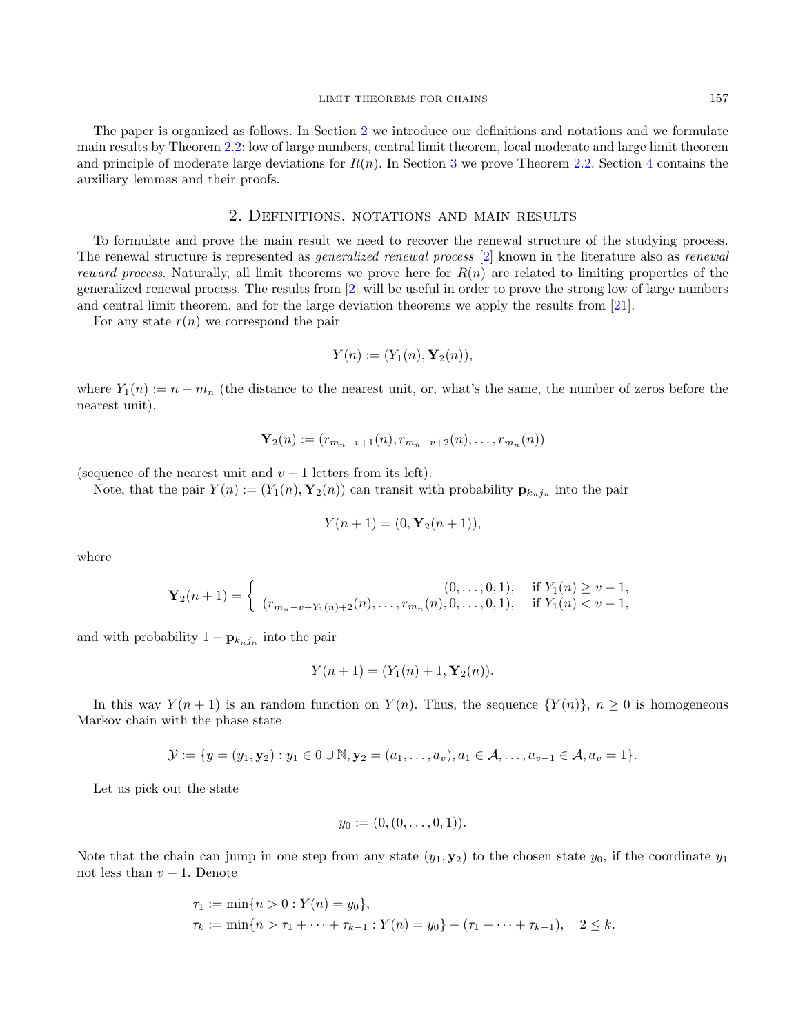The paper is organized as follows. In Section [2](#page-5-0) we introduce our definitions and notations and we formulate main results by Theorem [2.2:](#page-7-0) low of large numbers, central limit theorem, local moderate and large limit theorem and principle of moderate large deviations for  $R(n)$ . In Section [3](#page-8-0) we prove Theorem [2.2.](#page-7-0) Section [4](#page-12-0) contains the auxiliary lemmas and their proofs.

#### 2. Definitions, notations and main results

<span id="page-5-0"></span>To formulate and prove the main result we need to recover the renewal structure of the studying process. The renewal structure is represented as generalized renewal process [\[2\]](#page-17-1) known in the literature also as renewal reward process. Naturally, all limit theorems we prove here for  $R(n)$  are related to limiting properties of the generalized renewal process. The results from [\[2\]](#page-17-1) will be useful in order to prove the strong low of large numbers and central limit theorem, and for the large deviation theorems we apply the results from [\[21\]](#page-18-8).

For any state  $r(n)$  we correspond the pair

$$
Y(n) := (Y_1(n), \mathbf{Y}_2(n)),
$$

where  $Y_1(n) := n - m_n$  (the distance to the nearest unit, or, what's the same, the number of zeros before the nearest unit),

$$
\mathbf{Y}_{2}(n) := (r_{m_n-v+1}(n), r_{m_n-v+2}(n), \ldots, r_{m_n}(n))
$$

(sequence of the nearest unit and  $v - 1$  letters from its left).

Note, that the pair  $Y(n) := (Y_1(n), Y_2(n))$  can transit with probability  $\mathbf{p}_{k_n j_n}$  into the pair

$$
Y(n+1) = (0, \mathbf{Y}_2(n+1)),
$$

where

$$
\mathbf{Y}_2(n+1) = \begin{cases} (0, \dots, 0, 1), & \text{if } Y_1(n) \ge v - 1, \\ (r_{m_n-v+Y_1(n)+2}(n), \dots, r_{m_n}(n), 0, \dots, 0, 1), & \text{if } Y_1(n) < v - 1, \end{cases}
$$

and with probability  $1 - \mathbf{p}_{k_n j_n}$  into the pair

$$
Y(n + 1) = (Y_1(n) + 1, Y_2(n)).
$$

In this way  $Y(n+1)$  is an random function on  $Y(n)$ . Thus, the sequence  $\{Y(n)\}\$ ,  $n \geq 0$  is homogeneous Markov chain with the phase state

$$
\mathcal{Y} := \{ y = (y_1, \mathbf{y}_2) : y_1 \in 0 \cup \mathbb{N}, \mathbf{y}_2 = (a_1, \dots, a_v), a_1 \in \mathcal{A}, \dots, a_{v-1} \in \mathcal{A}, a_v = 1 \}.
$$

Let us pick out the state

$$
y_0 := (0, (0, \ldots, 0, 1)).
$$

Note that the chain can jump in one step from any state  $(y_1, y_2)$  to the chosen state  $y_0$ , if the coordinate  $y_1$ not less than  $v - 1$ . Denote

$$
\tau_1 := \min\{n > 0 : Y(n) = y_0\},\
$$
  

$$
\tau_k := \min\{n > \tau_1 + \dots + \tau_{k-1} : Y(n) = y_0\} - (\tau_1 + \dots + \tau_{k-1}), \quad 2 \le k.
$$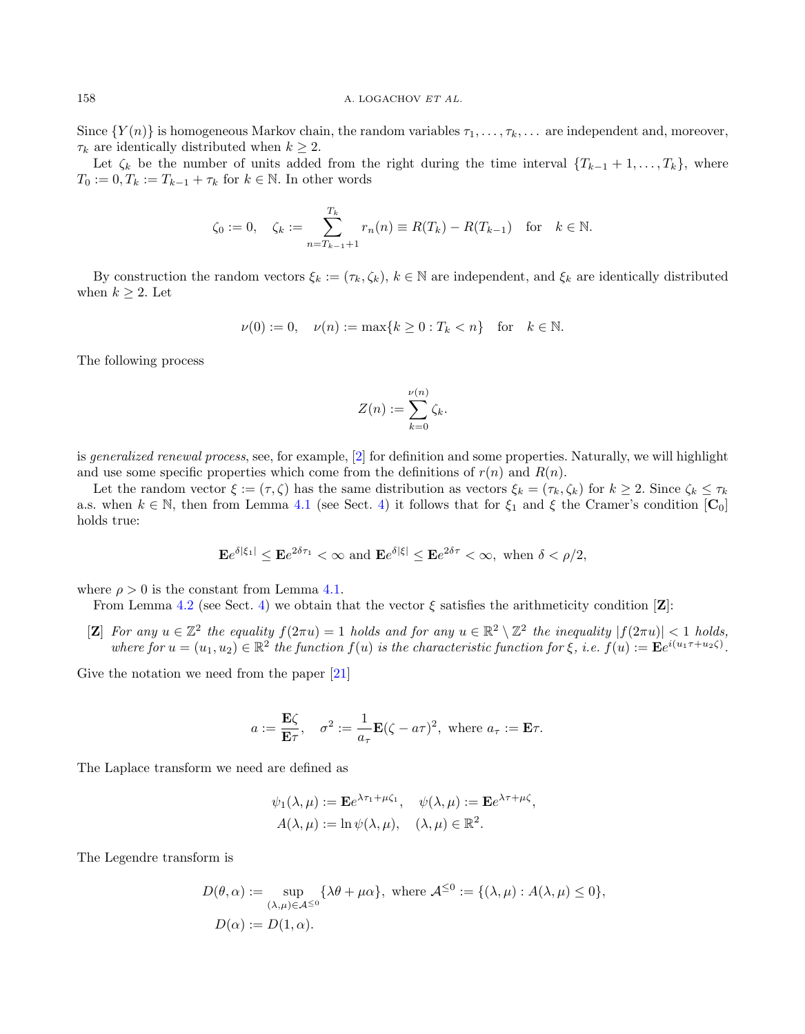Since  $\{Y(n)\}\$ is homogeneous Markov chain, the random variables  $\tau_1, \ldots, \tau_k, \ldots$  are independent and, moreover,  $\tau_k$  are identically distributed when  $k \geq 2$ .

Let  $\zeta_k$  be the number of units added from the right during the time interval  $\{T_{k-1} + 1, \ldots, T_k\}$ , where  $T_0 := 0, T_k := T_{k-1} + \tau_k$  for  $k \in \mathbb{N}$ . In other words

$$
\zeta_0 := 0
$$
,  $\zeta_k := \sum_{n=T_{k-1}+1}^{T_k} r_n(n) \equiv R(T_k) - R(T_{k-1})$  for  $k \in \mathbb{N}$ .

By construction the random vectors  $\xi_k := (\tau_k, \zeta_k)$ ,  $k \in \mathbb{N}$  are independent, and  $\xi_k$  are identically distributed when  $k \geq 2$ . Let

$$
\nu(0) := 0, \quad \nu(n) := \max\{k \ge 0 : T_k < n\} \quad \text{for} \quad k \in \mathbb{N}.
$$

The following process

$$
Z(n) := \sum_{k=0}^{\nu(n)} \zeta_k.
$$

is generalized renewal process, see, for example,  $[2]$  for definition and some properties. Naturally, we will highlight and use some specific properties which come from the definitions of  $r(n)$  and  $R(n)$ .

Let the random vector  $\xi := (\tau, \zeta)$  has the same distribution as vectors  $\xi_k = (\tau_k, \zeta_k)$  for  $k \geq 2$ . Since  $\zeta_k \leq \tau_k$ a.s. when  $k \in \mathbb{N}$ , then from Lemma [4.1](#page-12-1) (see Sect. [4\)](#page-12-0) it follows that for  $\xi_1$  and  $\xi$  the Cramer's condition  $[\mathbf{C}_0]$ holds true:

$$
\mathbf{E}e^{\delta|\xi_1|} \le \mathbf{E}e^{2\delta\tau_1} < \infty \text{ and } \mathbf{E}e^{\delta|\xi|} \le \mathbf{E}e^{2\delta\tau} < \infty, \text{ when } \delta < \rho/2,
$$

where  $\rho > 0$  is the constant from Lemma [4.1.](#page-12-1)

From Lemma [4.2](#page-13-0) (see Sect. [4\)](#page-12-0) we obtain that the vector  $\xi$  satisfies the arithmeticity condition [Z]:

[Z] For any  $u \in \mathbb{Z}^2$  the equality  $f(2\pi u) = 1$  holds and for any  $u \in \mathbb{R}^2 \setminus \mathbb{Z}^2$  the inequality  $|f(2\pi u)| < 1$  holds, where for  $u = (u_1, u_2) \in \mathbb{R}^2$  the function  $f(u)$  is the characteristic function for  $\xi$ , i.e.  $f(u) := \mathbf{E}e^{i(u_1 \tau + u_2 \zeta)}$ .

Give the notation we need from the paper [\[21\]](#page-18-8)

$$
a := \frac{\mathbf{E}\zeta}{\mathbf{E}\tau}
$$
,  $\sigma^2 := \frac{1}{a_{\tau}}\mathbf{E}(\zeta - a\tau)^2$ , where  $a_{\tau} := \mathbf{E}\tau$ .

The Laplace transform we need are defined as

$$
\psi_1(\lambda, \mu) := \mathbf{E} e^{\lambda \tau_1 + \mu \zeta_1}, \quad \psi(\lambda, \mu) := \mathbf{E} e^{\lambda \tau + \mu \zeta}, \nA(\lambda, \mu) := \ln \psi(\lambda, \mu), \quad (\lambda, \mu) \in \mathbb{R}^2.
$$

The Legendre transform is

$$
D(\theta, \alpha) := \sup_{(\lambda, \mu) \in \mathcal{A}^{\leq 0}} \{ \lambda \theta + \mu \alpha \}, \text{ where } \mathcal{A}^{\leq 0} := \{ (\lambda, \mu) : A(\lambda, \mu) \leq 0 \},
$$
  

$$
D(\alpha) := D(1, \alpha).
$$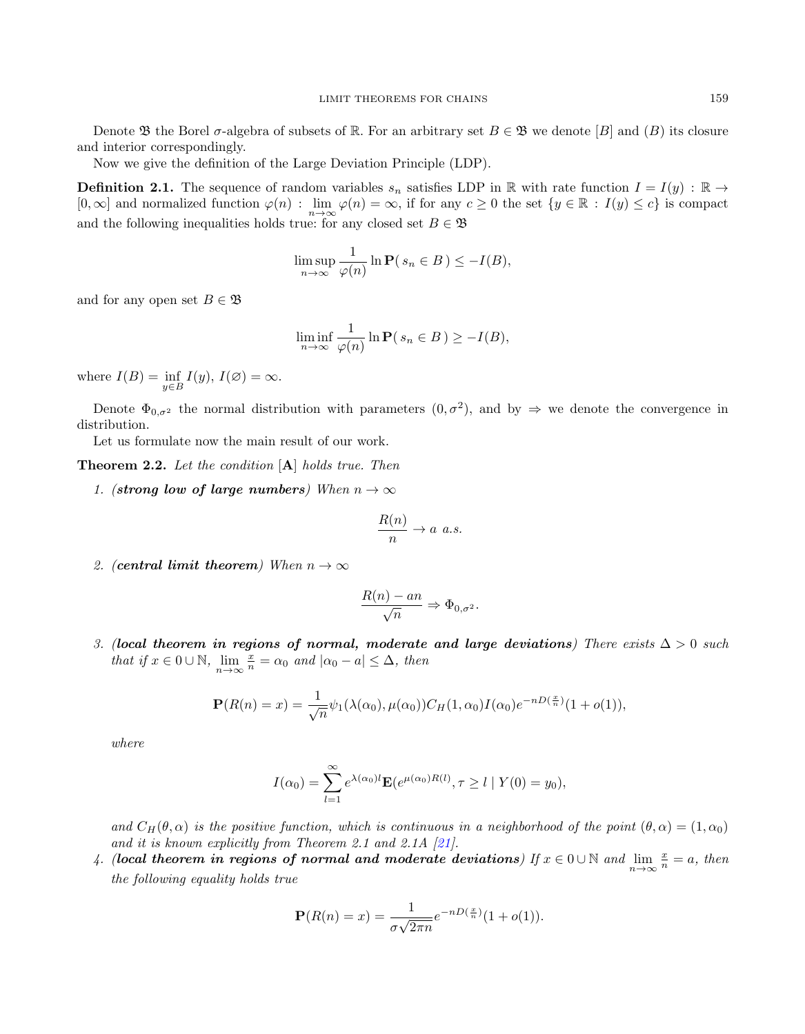Denote  $\mathfrak B$  the Borel  $\sigma$ -algebra of subsets of R. For an arbitrary set  $B \in \mathfrak B$  we denote [B] and (B) its closure and interior correspondingly.

Now we give the definition of the Large Deviation Principle (LDP).

**Definition 2.1.** The sequence of random variables  $s_n$  satisfies LDP in R with rate function  $I = I(y)$ : R  $\rightarrow$  $[0, \infty]$  and normalized function  $\varphi(n)$ :  $\lim_{n \to \infty} \varphi(n) = \infty$ , if for any  $c \ge 0$  the set  $\{y \in \mathbb{R} : I(y) \le c\}$  is compact and the following inequalities holds true: for any closed set  $B \in \mathfrak{B}$ 

$$
\limsup_{n \to \infty} \frac{1}{\varphi(n)} \ln \mathbf{P}(s_n \in B) \le -I(B),
$$

and for any open set  $B \in \mathfrak{B}$ 

$$
\liminf_{n \to \infty} \frac{1}{\varphi(n)} \ln \mathbf{P}(s_n \in B) \ge -I(B),
$$

where  $I(B) = \inf_{y \in B} I(y)$ ,  $I(\emptyset) = \infty$ .

Denote  $\Phi_{0,\sigma^2}$  the normal distribution with parameters  $(0,\sigma^2)$ , and by  $\Rightarrow$  we denote the convergence in distribution.

Let us formulate now the main result of our work.

<span id="page-7-0"></span>Theorem 2.2. Let the condition [A] holds true. Then

1. (strong low of large numbers) When  $n \to \infty$ 

$$
\frac{R(n)}{n} \to a \ a.s.
$$

2. (central limit theorem) When  $n \to \infty$ 

$$
\frac{R(n) - an}{\sqrt{n}} \Rightarrow \Phi_{0,\sigma^2}.
$$

3. (local theorem in regions of normal, moderate and large deviations) There exists  $\Delta > 0$  such that if  $x \in 0 \cup \mathbb{N}$ ,  $\lim_{n \to \infty} \frac{x}{n} = \alpha_0$  and  $|\alpha_0 - a| \leq \Delta$ , then

$$
\mathbf{P}(R(n) = x) = \frac{1}{\sqrt{n}} \psi_1(\lambda(\alpha_0), \mu(\alpha_0)) C_H(1, \alpha_0) I(\alpha_0) e^{-nD(\frac{x}{n})} (1 + o(1)),
$$

where

$$
I(\alpha_0) = \sum_{l=1}^{\infty} e^{\lambda(\alpha_0)l} \mathbf{E}(e^{\mu(\alpha_0)R(l)}, \tau \ge l \mid Y(0) = y_0),
$$

and  $C_H(\theta,\alpha)$  is the positive function, which is continuous in a neighborhood of the point  $(\theta,\alpha)=(1,\alpha_0)$ and it is known explicitly from Theorem 2.1 and 2.1A [\[21\]](#page-18-8).

4. (local theorem in regions of normal and moderate deviations) If  $x \in 0 \cup \mathbb{N}$  and  $\lim_{n \to \infty} \frac{x}{n} = a$ , then the following equality holds true

$$
\mathbf{P}(R(n) = x) = \frac{1}{\sigma\sqrt{2\pi n}}e^{-nD(\frac{x}{n})}(1+o(1)).
$$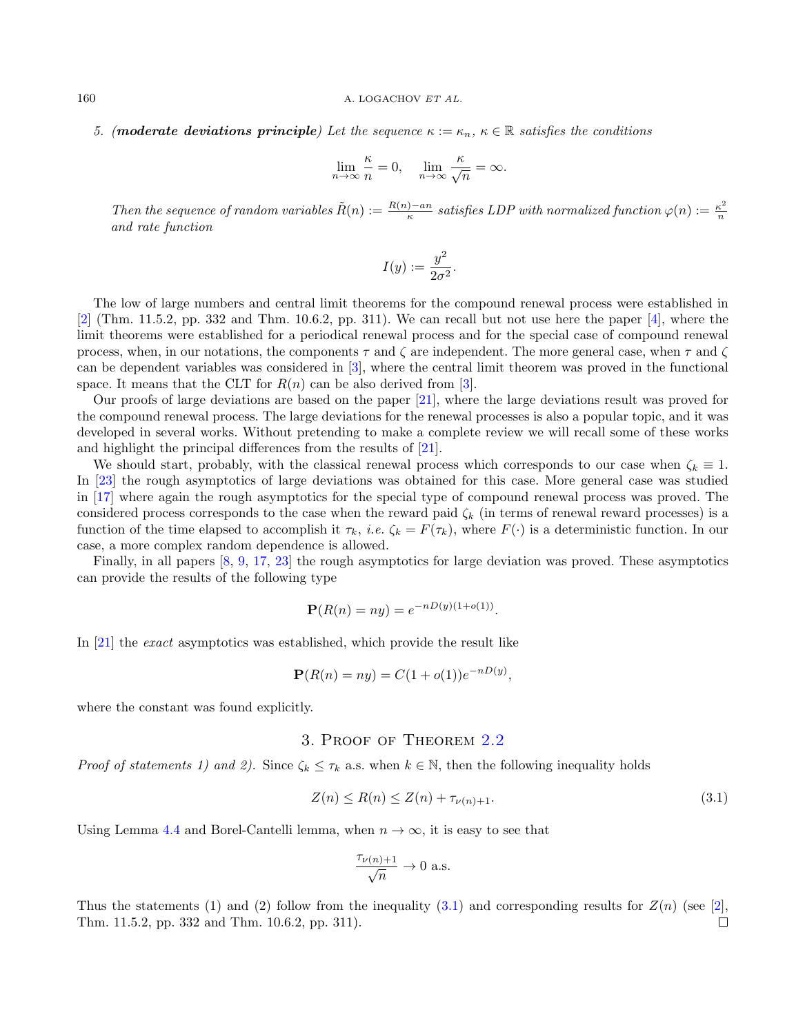5. (moderate deviations principle) Let the sequence  $\kappa := \kappa_n$ ,  $\kappa \in \mathbb{R}$  satisfies the conditions

$$
\lim_{n \to \infty} \frac{\kappa}{n} = 0, \quad \lim_{n \to \infty} \frac{\kappa}{\sqrt{n}} = \infty.
$$

Then the sequence of random variables  $\tilde{R}(n) := \frac{R(n) - a_n}{\kappa}$  satisfies LDP with normalized function  $\varphi(n) := \frac{\kappa^2}{n}$ n and rate function

$$
I(y) := \frac{y^2}{2\sigma^2}.
$$

The low of large numbers and central limit theorems for the compound renewal process were established in  $[2]$  (Thm. 11.5.2, pp. 332 and Thm. 10.6.2, pp. 311). We can recall but not use here the paper [\[4\]](#page-17-2), where the limit theorems were established for a periodical renewal process and for the special case of compound renewal process, when, in our notations, the components  $\tau$  and  $\zeta$  are independent. The more general case, when  $\tau$  and  $\zeta$ can be dependent variables was considered in [\[3\]](#page-17-3), where the central limit theorem was proved in the functional space. It means that the CLT for  $R(n)$  can be also derived from [\[3\]](#page-17-3).

Our proofs of large deviations are based on the paper [\[21\]](#page-18-8), where the large deviations result was proved for the compound renewal process. The large deviations for the renewal processes is also a popular topic, and it was developed in several works. Without pretending to make a complete review we will recall some of these works and highlight the principal differences from the results of [\[21\]](#page-18-8).

We should start, probably, with the classical renewal process which corresponds to our case when  $\zeta_k \equiv 1$ . In [\[23\]](#page-18-15) the rough asymptotics of large deviations was obtained for this case. More general case was studied in [\[17\]](#page-18-16) where again the rough asymptotics for the special type of compound renewal process was proved. The considered process corresponds to the case when the reward paid  $\zeta_k$  (in terms of renewal reward processes) is a function of the time elapsed to accomplish it  $\tau_k$ , *i.e.*  $\zeta_k = F(\tau_k)$ , where  $F(\cdot)$  is a deterministic function. In our case, a more complex random dependence is allowed.

Finally, in all papers [\[8,](#page-18-12) [9,](#page-18-13) [17,](#page-18-16) [23\]](#page-18-15) the rough asymptotics for large deviation was proved. These asymptotics can provide the results of the following type

$$
\mathbf{P}(R(n) = ny) = e^{-nD(y)(1+o(1))}.
$$

In [\[21\]](#page-18-8) the exact asymptotics was established, which provide the result like

$$
\mathbf{P}(R(n) = ny) = C(1 + o(1))e^{-nD(y)},
$$

<span id="page-8-0"></span>where the constant was found explicitly.

#### 3. Proof of Theorem [2.2](#page-7-0)

Proof of statements 1) and 2). Since  $\zeta_k \leq \tau_k$  a.s. when  $k \in \mathbb{N}$ , then the following inequality holds

<span id="page-8-1"></span>
$$
Z(n) \le R(n) \le Z(n) + \tau_{\nu(n)+1}.
$$
\n(3.1)

Using Lemma [4.4](#page-15-0) and Borel-Cantelli lemma, when  $n \to \infty$ , it is easy to see that

$$
\frac{\tau_{\nu(n)+1}}{\sqrt{n}}\to 0\hbox{ a.s.}
$$

Thus the statements (1) and (2) follow from the inequality [\(3.1\)](#page-8-1) and corresponding results for  $Z(n)$  (see [\[2\]](#page-17-1), Thm. 11.5.2, pp. 332 and Thm. 10.6.2, pp. 311). $\Box$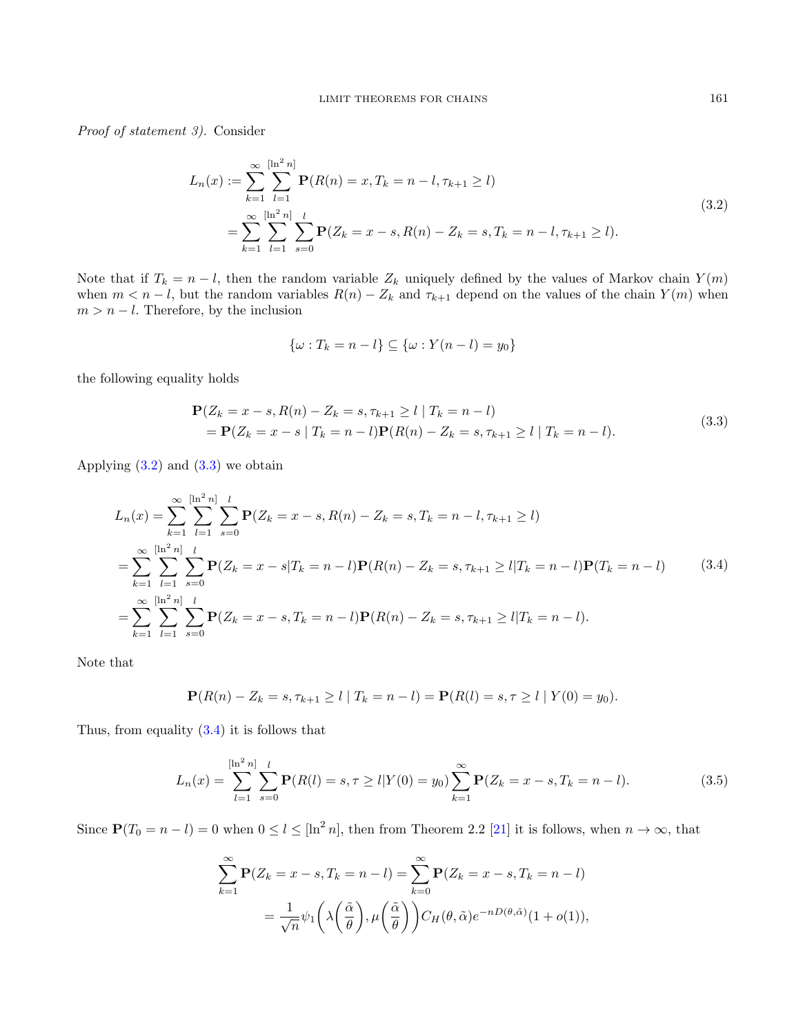Proof of statement 3). Consider

<span id="page-9-0"></span>
$$
L_n(x) := \sum_{k=1}^{\infty} \sum_{l=1}^{\lfloor \ln^2 n \rfloor} \mathbf{P}(R(n) = x, T_k = n - l, \tau_{k+1} \ge l)
$$
  
= 
$$
\sum_{k=1}^{\infty} \sum_{l=1}^{\lfloor \ln^2 n \rfloor} \sum_{s=0}^{l} \mathbf{P}(Z_k = x - s, R(n) - Z_k = s, T_k = n - l, \tau_{k+1} \ge l).
$$
 (3.2)

Note that if  $T_k = n - l$ , then the random variable  $Z_k$  uniquely defined by the values of Markov chain  $Y(m)$ when  $m < n - l$ , but the random variables  $R(n) - Z_k$  and  $\tau_{k+1}$  depend on the values of the chain  $Y(m)$  when  $m > n - l$ . Therefore, by the inclusion

$$
\{\omega: T_k = n - l\} \subseteq \{\omega: Y(n - l) = y_0\}
$$

the following equality holds

<span id="page-9-1"></span>
$$
\mathbf{P}(Z_k = x - s, R(n) - Z_k = s, \tau_{k+1} \ge l \mid T_k = n - l)
$$
  
=  $\mathbf{P}(Z_k = x - s \mid T_k = n - l)\mathbf{P}(R(n) - Z_k = s, \tau_{k+1} \ge l \mid T_k = n - l).$  (3.3)

Applying  $(3.2)$  and  $(3.3)$  we obtain

<span id="page-9-2"></span>
$$
L_n(x) = \sum_{k=1}^{\infty} \sum_{l=1}^{\lfloor \ln^2 n \rfloor} \sum_{s=0}^{l} \mathbf{P}(Z_k = x - s, R(n) - Z_k = s, T_k = n - l, \tau_{k+1} \ge l)
$$
  
= 
$$
\sum_{k=1}^{\infty} \sum_{l=1}^{\lfloor \ln^2 n \rfloor} \sum_{s=0}^{l} \mathbf{P}(Z_k = x - s | T_k = n - l) \mathbf{P}(R(n) - Z_k = s, \tau_{k+1} \ge l | T_k = n - l) \mathbf{P}(T_k = n - l)
$$
 (3.4)  
= 
$$
\sum_{k=1}^{\infty} \sum_{l=1}^{\lfloor \ln^2 n \rfloor} \sum_{s=0}^{l} \mathbf{P}(Z_k = x - s, T_k = n - l) \mathbf{P}(R(n) - Z_k = s, \tau_{k+1} \ge l | T_k = n - l).
$$

Note that

$$
\mathbf{P}(R(n) - Z_k = s, \tau_{k+1} \ge l \mid T_k = n - l) = \mathbf{P}(R(l) = s, \tau \ge l \mid Y(0) = y_0).
$$

Thus, from equality [\(3.4\)](#page-9-2) it is follows that

<span id="page-9-3"></span>
$$
L_n(x) = \sum_{l=1}^{\lfloor \ln^2 n \rfloor} \sum_{s=0}^l \mathbf{P}(R(l) = s, \tau \ge l | Y(0) = y_0) \sum_{k=1}^{\infty} \mathbf{P}(Z_k = x - s, T_k = n - l).
$$
 (3.5)

Since  $P(T_0 = n - l) = 0$  when  $0 \le l \le [\ln^2 n]$ , then from Theorem 2.2 [\[21\]](#page-18-8) it is follows, when  $n \to \infty$ , that

$$
\sum_{k=1}^{\infty} \mathbf{P}(Z_k = x - s, T_k = n - l) = \sum_{k=0}^{\infty} \mathbf{P}(Z_k = x - s, T_k = n - l)
$$

$$
= \frac{1}{\sqrt{n}} \psi_1 \left( \lambda \left( \frac{\tilde{\alpha}}{\theta} \right), \mu \left( \frac{\tilde{\alpha}}{\theta} \right) \right) C_H(\theta, \tilde{\alpha}) e^{-nD(\theta, \tilde{\alpha})} (1 + o(1)),
$$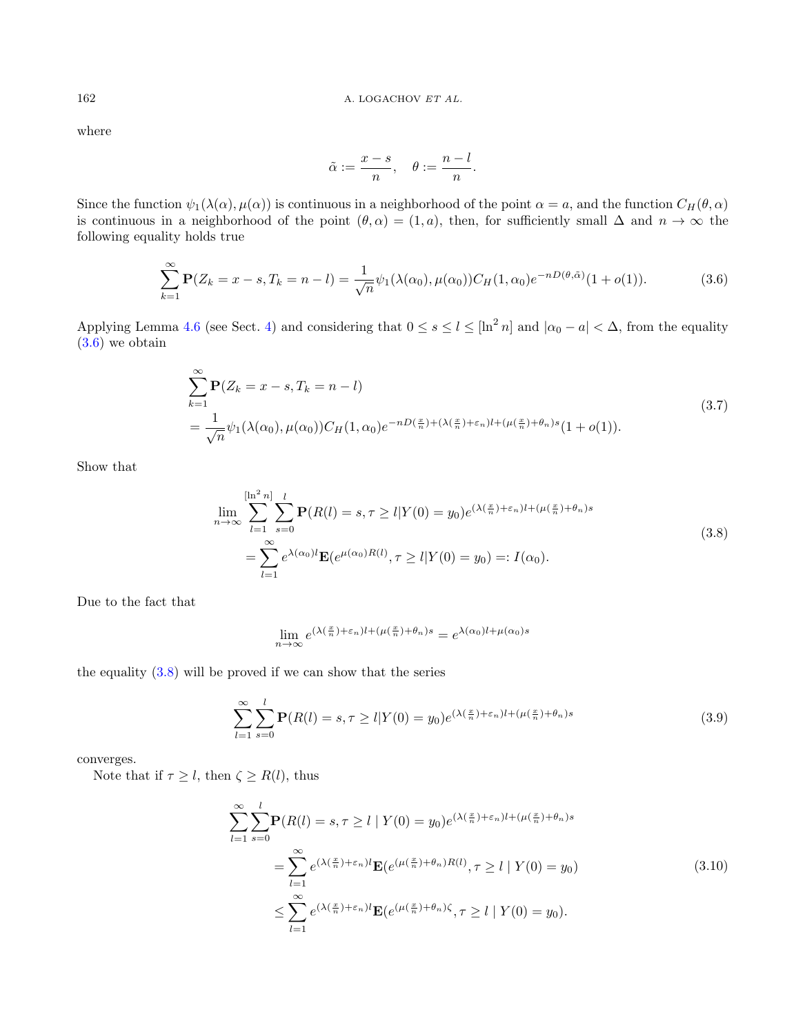where

$$
\tilde{\alpha} := \frac{x - s}{n}, \quad \theta := \frac{n - l}{n}.
$$

Since the function  $\psi_1(\lambda(\alpha), \mu(\alpha))$  is continuous in a neighborhood of the point  $\alpha = a$ , and the function  $C_H(\theta, \alpha)$ is continuous in a neighborhood of the point  $(\theta, \alpha) = (1, a)$ , then, for sufficiently small  $\Delta$  and  $n \to \infty$  the following equality holds true

<span id="page-10-0"></span>
$$
\sum_{k=1}^{\infty} \mathbf{P}(Z_k = x - s, T_k = n - l) = \frac{1}{\sqrt{n}} \psi_1(\lambda(\alpha_0), \mu(\alpha_0)) C_H(1, \alpha_0) e^{-nD(\theta, \tilde{\alpha})} (1 + o(1)).
$$
\n(3.6)

Applying Lemma [4.6](#page-17-4) (see Sect. [4\)](#page-12-0) and considering that  $0 \le s \le l \le [\ln^2 n]$  and  $|\alpha_0 - a| < \Delta$ , from the equality [\(3.6\)](#page-10-0) we obtain

<span id="page-10-4"></span>
$$
\sum_{k=1}^{\infty} \mathbf{P}(Z_k = x - s, T_k = n - l)
$$
\n
$$
= \frac{1}{\sqrt{n}} \psi_1(\lambda(\alpha_0), \mu(\alpha_0)) C_H(1, \alpha_0) e^{-nD(\frac{x}{n}) + (\lambda(\frac{x}{n}) + \varepsilon_n)l + (\mu(\frac{x}{n}) + \theta_n)s} (1 + o(1)).
$$
\n(3.7)

Show that

<span id="page-10-1"></span>
$$
\lim_{n \to \infty} \sum_{l=1}^{[\ln^2 n]} \sum_{s=0}^l \mathbf{P}(R(l) = s, \tau \ge l | Y(0) = y_0) e^{(\lambda(\frac{x}{n}) + \varepsilon_n)l + (\mu(\frac{x}{n}) + \theta_n)s} \n= \sum_{l=1}^{\infty} e^{\lambda(\alpha_0)l} \mathbf{E}(e^{\mu(\alpha_0)R(l)}, \tau \ge l | Y(0) = y_0) =: I(\alpha_0).
$$
\n(3.8)

Due to the fact that

$$
\lim_{n \to \infty} e^{(\lambda(\frac{x}{n}) + \varepsilon_n)l + (\mu(\frac{x}{n}) + \theta_n)s} = e^{\lambda(\alpha_0)l + \mu(\alpha_0)s}
$$

the equality [\(3.8\)](#page-10-1) will be proved if we can show that the series

<span id="page-10-3"></span>
$$
\sum_{l=1}^{\infty} \sum_{s=0}^{l} \mathbf{P}(R(l) = s, \tau \ge l | Y(0) = y_0) e^{(\lambda(\frac{x}{n}) + \varepsilon_n)l + (\mu(\frac{x}{n}) + \theta_n)s}
$$
(3.9)

converges.

Note that if  $\tau \geq l$ , then  $\zeta \geq R(l)$ , thus

<span id="page-10-2"></span>
$$
\sum_{l=1}^{\infty} \sum_{s=0}^{l} \mathbf{P}(R(l) = s, \tau \ge l \mid Y(0) = y_0) e^{(\lambda(\frac{x}{n}) + \varepsilon_n)l + (\mu(\frac{x}{n}) + \theta_n)s}
$$
  
= 
$$
\sum_{l=1}^{\infty} e^{(\lambda(\frac{x}{n}) + \varepsilon_n)l} \mathbf{E}(e^{(\mu(\frac{x}{n}) + \theta_n)R(l)}, \tau \ge l \mid Y(0) = y_0)
$$
(3.10)  

$$
\le \sum_{l=1}^{\infty} e^{(\lambda(\frac{x}{n}) + \varepsilon_n)l} \mathbf{E}(e^{(\mu(\frac{x}{n}) + \theta_n)\zeta}, \tau \ge l \mid Y(0) = y_0).
$$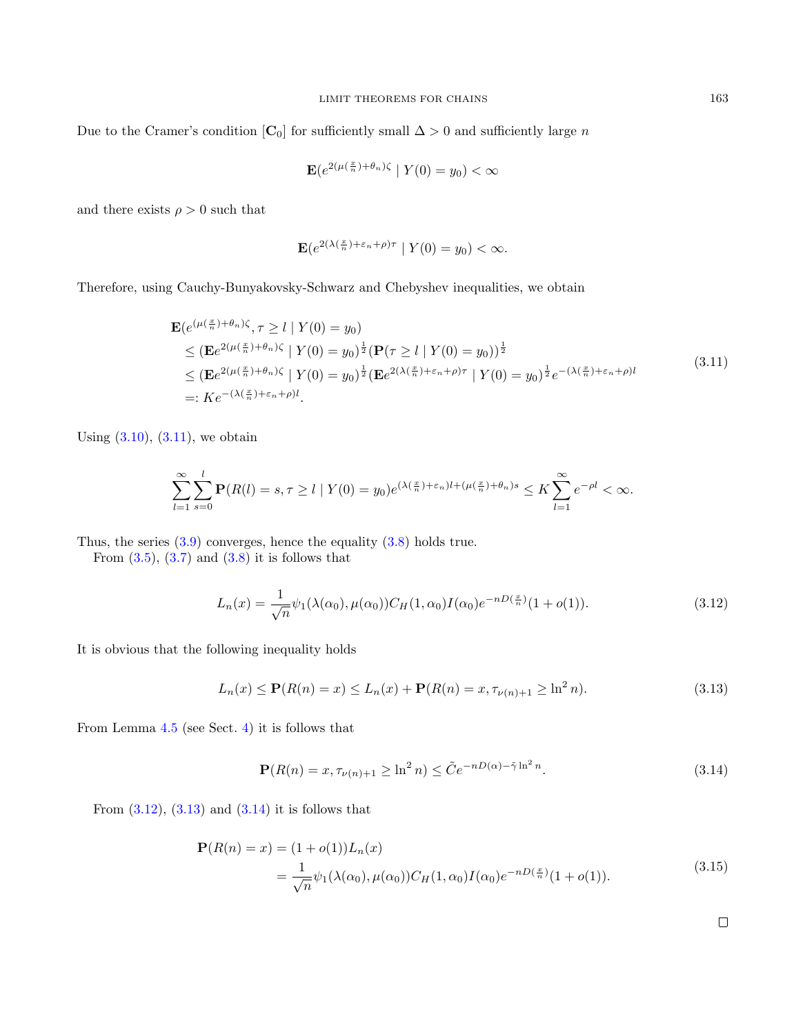Due to the Cramer's condition  $[C_0]$  for sufficiently small  $\Delta > 0$  and sufficiently large n

$$
\mathbf{E}(e^{2(\mu(\frac{x}{n})+\theta_n)\zeta} \mid Y(0)=y_0) < \infty
$$

and there exists  $\rho > 0$  such that

$$
\mathbf{E}(e^{2(\lambda(\frac{x}{n})+\varepsilon_n+\rho)\tau} \mid Y(0)=y_0) < \infty.
$$

Therefore, using Cauchy-Bunyakovsky-Schwarz and Chebyshev inequalities, we obtain

<span id="page-11-0"></span>
$$
\mathbf{E}(e^{(\mu(\frac{x}{n})+\theta_n)\zeta}, \tau \ge l \mid Y(0) = y_0)
$$
\n
$$
\le (\mathbf{E}e^{2(\mu(\frac{x}{n})+\theta_n)\zeta} \mid Y(0) = y_0)^{\frac{1}{2}} (\mathbf{P}(\tau \ge l \mid Y(0) = y_0))^{\frac{1}{2}}
$$
\n
$$
\le (\mathbf{E}e^{2(\mu(\frac{x}{n})+\theta_n)\zeta} \mid Y(0) = y_0)^{\frac{1}{2}} (\mathbf{E}e^{2(\lambda(\frac{x}{n})+\varepsilon_n+\rho)\tau} \mid Y(0) = y_0)^{\frac{1}{2}} e^{-(\lambda(\frac{x}{n})+\varepsilon_n+\rho)t}
$$
\n
$$
=: Ke^{-(\lambda(\frac{x}{n})+\varepsilon_n+\rho)t}.
$$
\n(3.11)

Using  $(3.10)$ ,  $(3.11)$ , we obtain

$$
\sum_{l=1}^{\infty}\sum_{s=0}^{l} \mathbf{P}(R(l) = s, \tau \ge l \mid Y(0) = y_0)e^{(\lambda(\frac{x}{n}) + \varepsilon_n)l + (\mu(\frac{x}{n}) + \theta_n)s} \le K \sum_{l=1}^{\infty} e^{-\rho l} < \infty.
$$

Thus, the series  $(3.9)$  converges, hence the equality  $(3.8)$  holds true.

From  $(3.5)$ ,  $(3.7)$  and  $(3.8)$  it is follows that

<span id="page-11-1"></span>
$$
L_n(x) = \frac{1}{\sqrt{n}} \psi_1(\lambda(\alpha_0), \mu(\alpha_0)) C_H(1, \alpha_0) I(\alpha_0) e^{-nD(\frac{x}{n})} (1 + o(1)).
$$
\n(3.12)

It is obvious that the following inequality holds

<span id="page-11-2"></span>
$$
L_n(x) \le \mathbf{P}(R(n) = x) \le L_n(x) + \mathbf{P}(R(n) = x, \tau_{\nu(n)+1} \ge \ln^2 n). \tag{3.13}
$$

From Lemma [4.5](#page-15-1) (see Sect. [4\)](#page-12-0) it is follows that

<span id="page-11-3"></span>
$$
\mathbf{P}(R(n) = x, \tau_{\nu(n)+1} \ge \ln^2 n) \le \tilde{C} e^{-nD(\alpha) - \tilde{\gamma} \ln^2 n}.
$$
\n(3.14)

From  $(3.12)$ ,  $(3.13)$  and  $(3.14)$  it is follows that

<span id="page-11-4"></span>
$$
\mathbf{P}(R(n) = x) = (1 + o(1))L_n(x)
$$
  
= 
$$
\frac{1}{\sqrt{n}} \psi_1(\lambda(\alpha_0), \mu(\alpha_0)) C_H(1, \alpha_0) I(\alpha_0) e^{-nD(\frac{x}{n})} (1 + o(1)).
$$
 (3.15)

 $\Box$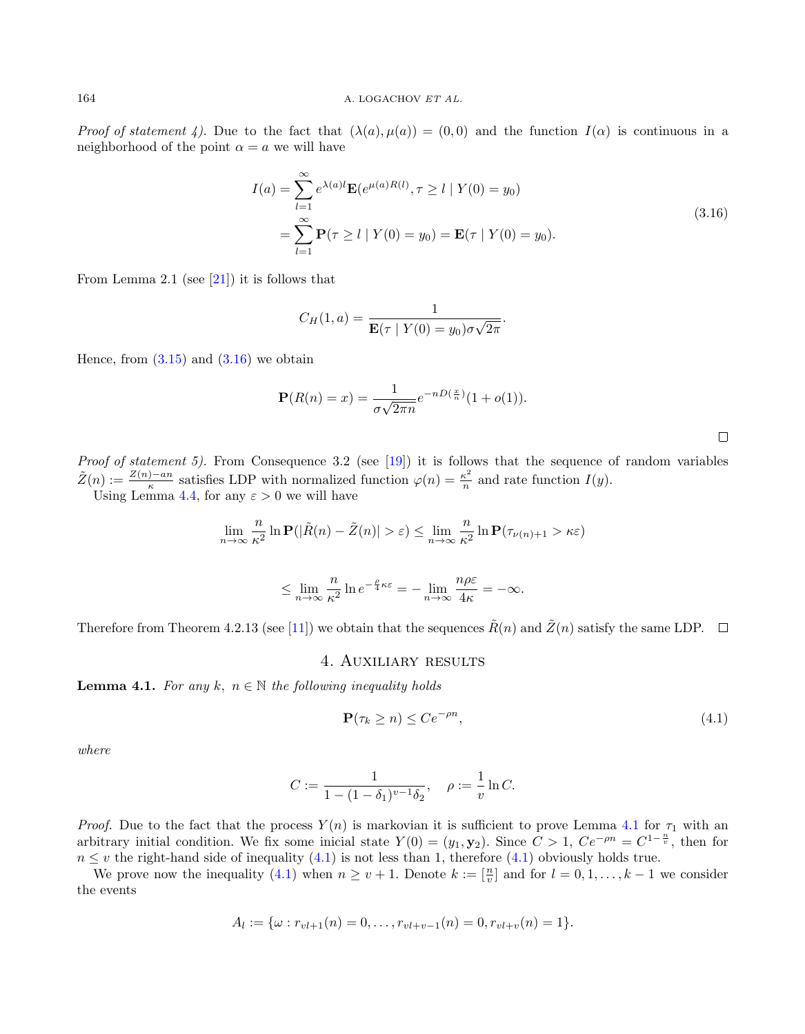Proof of statement 4). Due to the fact that  $(\lambda(a), \mu(a)) = (0, 0)$  and the function  $I(\alpha)$  is continuous in a neighborhood of the point  $\alpha = a$  we will have

<span id="page-12-2"></span>
$$
I(a) = \sum_{l=1}^{\infty} e^{\lambda(a)l} \mathbf{E}(e^{\mu(a)R(l)}, \tau \ge l \mid Y(0) = y_0)
$$
  
= 
$$
\sum_{l=1}^{\infty} \mathbf{P}(\tau \ge l \mid Y(0) = y_0) = \mathbf{E}(\tau \mid Y(0) = y_0).
$$
 (3.16)

From Lemma 2.1 (see  $[21]$ ) it is follows that

$$
C_H(1, a) = \frac{1}{\mathbf{E}(\tau \mid Y(0) = y_0)\sigma\sqrt{2\pi}}.
$$

Hence, from  $(3.15)$  and  $(3.16)$  we obtain

$$
\mathbf{P}(R(n) = x) = \frac{1}{\sigma\sqrt{2\pi n}}e^{-nD(\frac{x}{n})}(1+o(1)).
$$

Proof of statement 5). From Consequence 3.2 (see [\[19\]](#page-18-17)) it is follows that the sequence of random variables  $\tilde{Z}(n) := \frac{Z(n) - an}{\kappa}$  satisfies LDP with normalized function  $\varphi(n) = \frac{\kappa^2}{n}$  $\frac{\kappa^2}{n}$  and rate function  $I(y)$ .

Using Lemma [4.4,](#page-15-0) for any  $\varepsilon > 0$  we will have

$$
\lim_{n \to \infty} \frac{n}{\kappa^2} \ln \mathbf{P}(|\tilde{R}(n) - \tilde{Z}(n)| > \varepsilon) \le \lim_{n \to \infty} \frac{n}{\kappa^2} \ln \mathbf{P}(\tau_{\nu(n)+1} > \kappa \varepsilon)
$$

$$
\leq \lim_{n\to\infty}\frac{n}{\kappa^2}\ln e^{-\frac{\rho}{4}\kappa\varepsilon}=-\lim_{n\to\infty}\frac{n\rho\varepsilon}{4\kappa}=-\infty.
$$

<span id="page-12-0"></span>Therefore from Theorem 4.2.13 (see [\[11\]](#page-18-18)) we obtain that the sequences  $\tilde{R}(n)$  and  $\tilde{Z}(n)$  satisfy the same LDP.  $\Box$ 

#### 4. Auxiliary results

<span id="page-12-1"></span>**Lemma 4.1.** For any k,  $n \in \mathbb{N}$  the following inequality holds

<span id="page-12-3"></span>
$$
\mathbf{P}(\tau_k \ge n) \le C e^{-\rho n},\tag{4.1}
$$

where

$$
C := \frac{1}{1 - (1 - \delta_1)^{v - 1} \delta_2}, \quad \rho := \frac{1}{v} \ln C.
$$

*Proof.* Due to the fact that the process  $Y(n)$  is markovian it is sufficient to prove Lemma [4.1](#page-12-1) for  $\tau_1$  with an arbitrary initial condition. We fix some inicial state  $Y(0) = (y_1, y_2)$ . Since  $C > 1$ ,  $Ce^{-\rho n} = C^{1-\frac{n}{v}}$ , then for  $n \leq v$  the right-hand side of inequality [\(4.1\)](#page-12-3) is not less than 1, therefore (4.1) obviously holds true.

We prove now the inequality [\(4.1\)](#page-12-3) when  $n \ge v + 1$ . Denote  $k := \lceil \frac{n}{v} \rceil$  and for  $l = 0, 1, ..., k - 1$  we consider the events

$$
A_l := \{ \omega : r_{vl+1}(n) = 0, \ldots, r_{vl+v-1}(n) = 0, r_{vl+v}(n) = 1 \}.
$$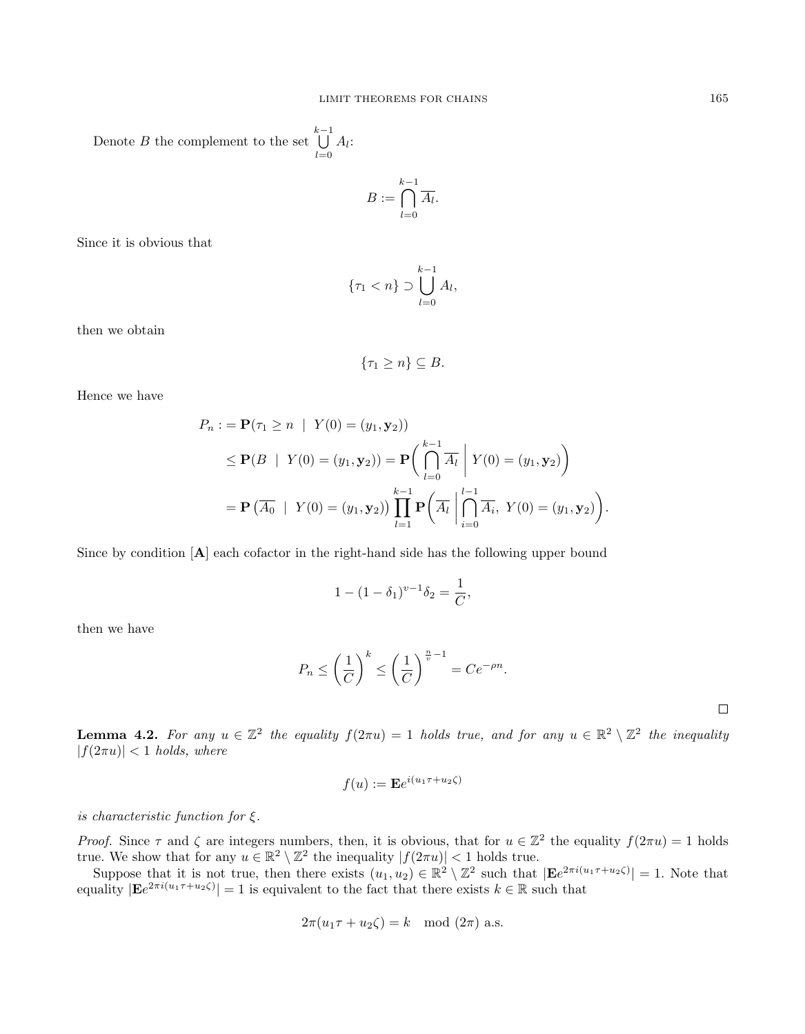Denote B the complement to the set  $\bigcup^{k-1} A_l$ :  $_{l=0}$ 

$$
B := \bigcap_{l=0}^{k-1} \overline{A_l}.
$$

Since it is obvious that

$$
\{\tau_1 < n\} \supset \bigcup_{l=0}^{k-1} A_l,
$$

then we obtain

$$
\{\tau_1 \geq n\} \subseteq B.
$$

Hence we have

$$
P_n := \mathbf{P}(\tau_1 \ge n \mid Y(0) = (y_1, \mathbf{y}_2))
$$
  
\n
$$
\le \mathbf{P}(B \mid Y(0) = (y_1, \mathbf{y}_2)) = \mathbf{P}\left(\bigcap_{l=0}^{k-1} \overline{A_l} \mid Y(0) = (y_1, \mathbf{y}_2)\right)
$$
  
\n
$$
= \mathbf{P}\left(\overline{A_0} \mid Y(0) = (y_1, \mathbf{y}_2)\right) \prod_{l=1}^{k-1} \mathbf{P}\left(\overline{A_l} \mid \bigcap_{i=0}^{l-1} \overline{A_i}, Y(0) = (y_1, \mathbf{y}_2)\right).
$$

Since by condition [A] each cofactor in the right-hand side has the following upper bound

$$
1 - (1 - \delta_1)^{v-1} \delta_2 = \frac{1}{C},
$$

then we have

$$
P_n \le \left(\frac{1}{C}\right)^k \le \left(\frac{1}{C}\right)^{\frac{n}{v}-1} = Ce^{-\rho n}.
$$

<span id="page-13-0"></span>**Lemma 4.2.** For any  $u \in \mathbb{Z}^2$  the equality  $f(2\pi u) = 1$  holds true, and for any  $u \in \mathbb{R}^2 \setminus \mathbb{Z}^2$  the inequality  $|f(2\pi u)| < 1$  holds, where

$$
f(u) := \mathbf{E}e^{i(u_1\tau + u_2\zeta)}
$$

is characteristic function for  $\xi$ .

Proof. Since  $\tau$  and  $\zeta$  are integers numbers, then, it is obvious, that for  $u \in \mathbb{Z}^2$  the equality  $f(2\pi u) = 1$  holds true. We show that for any  $u \in \mathbb{R}^2 \setminus \mathbb{Z}^2$  the inequality  $|f(2\pi u)| < 1$  holds true.

Suppose that it is not true, then there exists  $(u_1, u_2) \in \mathbb{R}^2 \setminus \mathbb{Z}^2$  such that  $|\mathbf{E}e^{2\pi i(u_1\tau + u_2\zeta)}| = 1$ . Note that equality  $|{\bf E}e^{2\pi i(u_1\tau+u_2\zeta)}|=1$  is equivalent to the fact that there exists  $k \in \mathbb{R}$  such that

$$
2\pi(u_1\tau + u_2\zeta) = k \mod (2\pi) \text{ a.s.}
$$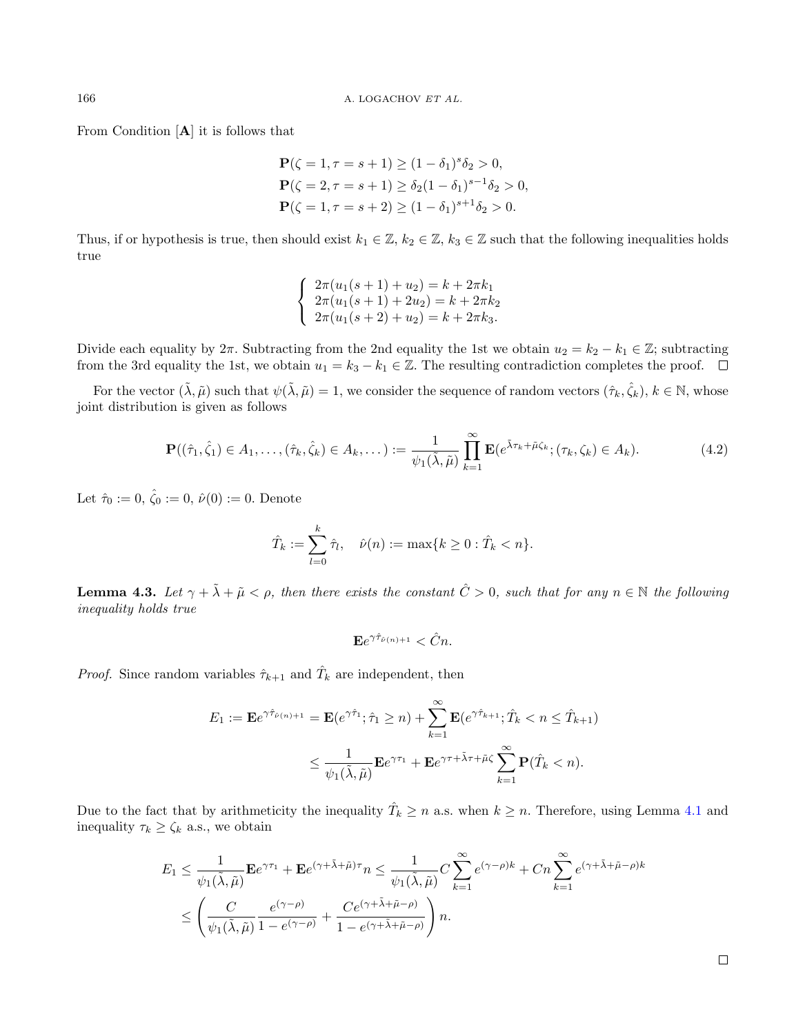From Condition [A] it is follows that

$$
\mathbf{P}(\zeta = 1, \tau = s + 1) \ge (1 - \delta_1)^s \delta_2 > 0,
$$
  
\n
$$
\mathbf{P}(\zeta = 2, \tau = s + 1) \ge \delta_2 (1 - \delta_1)^{s - 1} \delta_2 > 0,
$$
  
\n
$$
\mathbf{P}(\zeta = 1, \tau = s + 2) \ge (1 - \delta_1)^{s + 1} \delta_2 > 0.
$$

Thus, if or hypothesis is true, then should exist  $k_1 \in \mathbb{Z}$ ,  $k_2 \in \mathbb{Z}$ ,  $k_3 \in \mathbb{Z}$  such that the following inequalities holds true

$$
\begin{cases}\n2\pi(u_1(s+1)+u_2) = k + 2\pi k_1 \\
2\pi(u_1(s+1)+2u_2) = k + 2\pi k_2 \\
2\pi(u_1(s+2)+u_2) = k + 2\pi k_3.\n\end{cases}
$$

Divide each equality by  $2\pi$ . Subtracting from the 2nd equality the 1st we obtain  $u_2 = k_2 - k_1 \in \mathbb{Z}$ ; subtracting from the 3rd equality the 1st, we obtain  $u_1 = k_3 - k_1 \in \mathbb{Z}$ . The resulting contradiction completes the proof.  $\Box$ 

For the vector  $(\tilde{\lambda}, \tilde{\mu})$  such that  $\psi(\tilde{\lambda}, \tilde{\mu}) = 1$ , we consider the sequence of random vectors  $(\hat{\tau}_k, \hat{\zeta}_k)$ ,  $k \in \mathbb{N}$ , whose joint distribution is given as follows

<span id="page-14-0"></span>
$$
\mathbf{P}((\hat{\tau}_1, \hat{\zeta}_1) \in A_1, \dots, (\hat{\tau}_k, \hat{\zeta}_k) \in A_k, \dots) := \frac{1}{\psi_1(\tilde{\lambda}, \tilde{\mu})} \prod_{k=1}^{\infty} \mathbf{E}(e^{\tilde{\lambda}\tau_k + \tilde{\mu}\zeta_k}; (\tau_k, \zeta_k) \in A_k).
$$
(4.2)

Let  $\hat{\tau}_0 := 0, \hat{\zeta}_0 := 0, \hat{\nu}(0) := 0$ . Denote

$$
\hat{T}_k := \sum_{l=0}^k \hat{\tau}_l, \quad \hat{\nu}(n) := \max\{k \ge 0 : \hat{T}_k < n\}.
$$

<span id="page-14-1"></span>**Lemma 4.3.** Let  $\gamma + \tilde{\lambda} + \tilde{\mu} \leq \rho$ , then there exists the constant  $\hat{C} > 0$ , such that for any  $n \in \mathbb{N}$  the following inequality holds true

$$
\mathbf{E} e^{\gamma \hat{\tau}_{\hat{\nu}(n)+1}} < \hat{C} n.
$$

*Proof.* Since random variables  $\hat{\tau}_{k+1}$  and  $\hat{T}_k$  are independent, then

$$
E_1 := \mathbf{E}e^{\gamma \hat{\tau}_{\hat{\nu}(n)+1}} = \mathbf{E}(e^{\gamma \hat{\tau}_1}; \hat{\tau}_1 \ge n) + \sum_{k=1}^{\infty} \mathbf{E}(e^{\gamma \hat{\tau}_{k+1}}; \hat{T}_k < n \le \hat{T}_{k+1})
$$
\n
$$
\le \frac{1}{\psi_1(\tilde{\lambda}, \tilde{\mu})} \mathbf{E}e^{\gamma \tau_1} + \mathbf{E}e^{\gamma \tau + \tilde{\lambda}\tau + \tilde{\mu}\zeta} \sum_{k=1}^{\infty} \mathbf{P}(\hat{T}_k < n).
$$

Due to the fact that by arithmeticity the inequality  $\hat{T}_k \geq n$  a.s. when  $k \geq n$ . Therefore, using Lemma [4.1](#page-12-1) and inequality  $\tau_k \geq \zeta_k$  a.s., we obtain

$$
E_1 \leq \frac{1}{\psi_1(\tilde{\lambda}, \tilde{\mu})} \mathbf{E} e^{\gamma \tau_1} + \mathbf{E} e^{(\gamma + \tilde{\lambda} + \tilde{\mu})\tau} n \leq \frac{1}{\psi_1(\tilde{\lambda}, \tilde{\mu})} C \sum_{k=1}^{\infty} e^{(\gamma - \rho)k} + C n \sum_{k=1}^{\infty} e^{(\gamma + \tilde{\lambda} + \tilde{\mu} - \rho)k}
$$
  

$$
\leq \left( \frac{C}{\psi_1(\tilde{\lambda}, \tilde{\mu})} \frac{e^{(\gamma - \rho)}}{1 - e^{(\gamma - \rho)}} + \frac{C e^{(\gamma + \tilde{\lambda} + \tilde{\mu} - \rho)}}{1 - e^{(\gamma + \tilde{\lambda} + \tilde{\mu} - \rho)}} \right) n.
$$

 $\Box$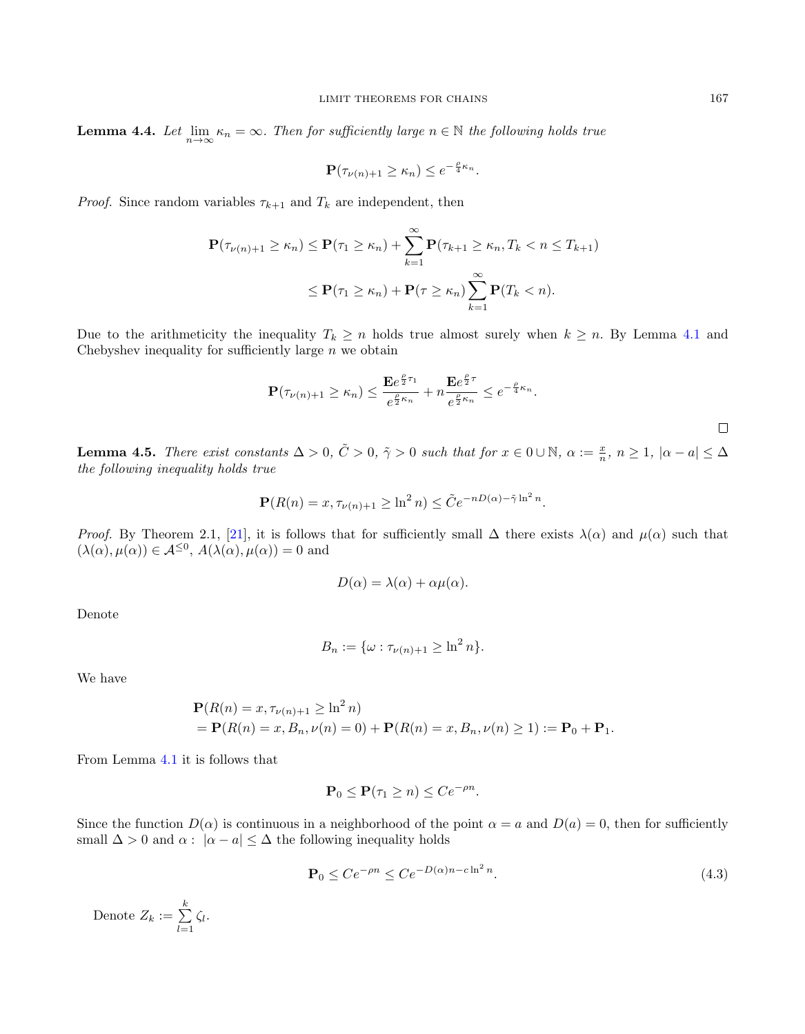<span id="page-15-0"></span>**Lemma 4.4.** Let  $\lim_{n\to\infty} \kappa_n = \infty$ . Then for sufficiently large  $n \in \mathbb{N}$  the following holds true

$$
\mathbf{P}(\tau_{\nu(n)+1} \ge \kappa_n) \le e^{-\frac{\rho}{4}\kappa_n}.
$$

*Proof.* Since random variables  $\tau_{k+1}$  and  $T_k$  are independent, then

$$
\mathbf{P}(\tau_{\nu(n)+1} \geq \kappa_n) \leq \mathbf{P}(\tau_1 \geq \kappa_n) + \sum_{k=1}^{\infty} \mathbf{P}(\tau_{k+1} \geq \kappa_n, T_k < n \leq T_{k+1})
$$
\n
$$
\leq \mathbf{P}(\tau_1 \geq \kappa_n) + \mathbf{P}(\tau \geq \kappa_n) \sum_{k=1}^{\infty} \mathbf{P}(T_k < n).
$$

Due to the arithmeticity the inequality  $T_k \geq n$  holds true almost surely when  $k \geq n$ . By Lemma [4.1](#page-12-1) and Chebyshev inequality for sufficiently large  $n$  we obtain

$$
\mathbf{P}(\tau_{\nu(n)+1} \ge \kappa_n) \le \frac{\mathbf{E}e^{\frac{\rho}{2}\tau_1}}{e^{\frac{\rho}{2}\kappa_n}} + n\frac{\mathbf{E}e^{\frac{\rho}{2}\tau}}{e^{\frac{\rho}{2}\kappa_n}} \le e^{-\frac{\rho}{4}\kappa_n}.
$$

<span id="page-15-1"></span>**Lemma 4.5.** There exist constants  $\Delta > 0$ ,  $\tilde{C} > 0$ ,  $\tilde{\gamma} > 0$  such that for  $x \in 0 \cup \mathbb{N}$ ,  $\alpha := \frac{x}{n}$ ,  $n \ge 1$ ,  $|\alpha - a| \le \Delta$ the following inequality holds true

$$
\mathbf{P}(R(n) = x, \tau_{\nu(n)+1} \ge \ln^2 n) \le \tilde{C} e^{-nD(\alpha) - \tilde{\gamma} \ln^2 n}.
$$

*Proof.* By Theorem 2.1, [\[21\]](#page-18-8), it is follows that for sufficiently small  $\Delta$  there exists  $\lambda(\alpha)$  and  $\mu(\alpha)$  such that  $(\lambda(\alpha), \mu(\alpha)) \in \mathcal{A}^{\leq 0}, A(\lambda(\alpha), \mu(\alpha)) = 0$  and

$$
D(\alpha) = \lambda(\alpha) + \alpha \mu(\alpha).
$$

Denote

$$
B_n := \{ \omega : \tau_{\nu(n)+1} \ge \ln^2 n \}.
$$

We have

$$
\mathbf{P}(R(n) = x, \tau_{\nu(n)+1} \ge \ln^2 n)
$$
  
=  $\mathbf{P}(R(n) = x, B_n, \nu(n) = 0) + \mathbf{P}(R(n) = x, B_n, \nu(n) \ge 1) := \mathbf{P}_0 + \mathbf{P}_1.$ 

From Lemma [4.1](#page-12-1) it is follows that

$$
\mathbf{P}_0 \le \mathbf{P}(\tau_1 \ge n) \le Ce^{-\rho n}.
$$

Since the function  $D(\alpha)$  is continuous in a neighborhood of the point  $\alpha = a$  and  $D(a) = 0$ , then for sufficiently small  $\Delta > 0$  and  $\alpha : |\alpha - a| \leq \Delta$  the following inequality holds

<span id="page-15-2"></span>
$$
\mathbf{P}_0 \le Ce^{-\rho n} \le Ce^{-D(\alpha)n - c\ln^2 n}.\tag{4.3}
$$

Denote  $Z_k := \sum_{k=1}^{k}$  $\sum_{l=1} \zeta_l$ .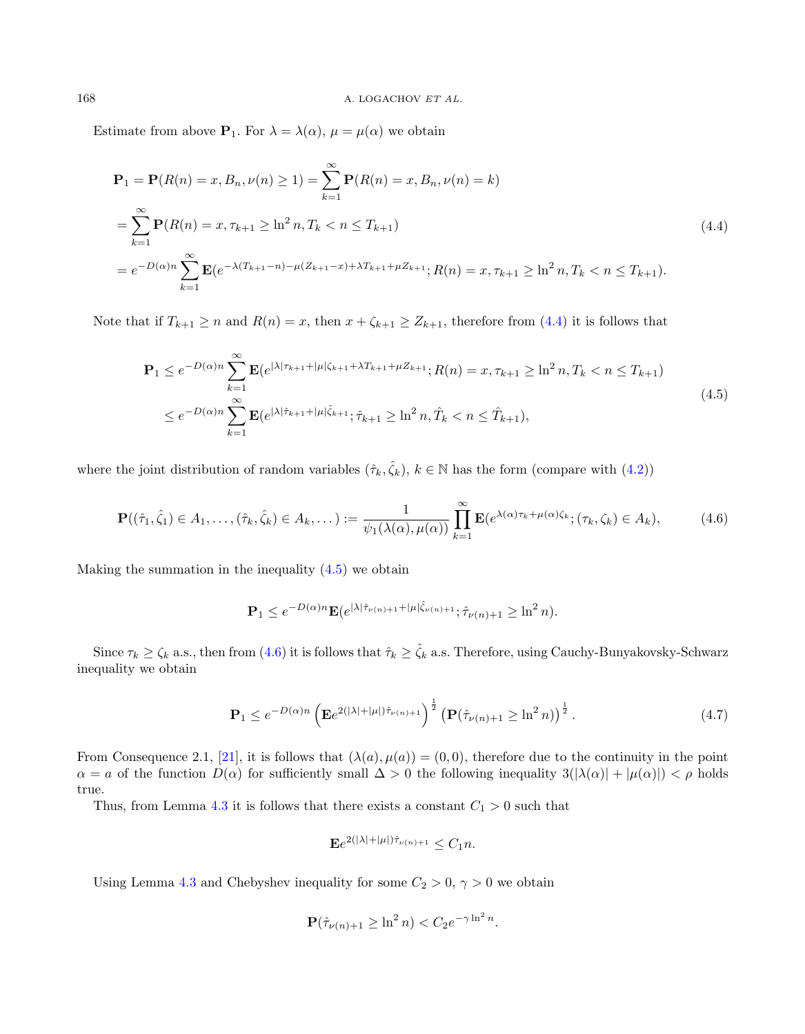Estimate from above  $P_1$ . For  $\lambda = \lambda(\alpha)$ ,  $\mu = \mu(\alpha)$  we obtain

<span id="page-16-0"></span>
$$
\mathbf{P}_1 = \mathbf{P}(R(n) = x, B_n, \nu(n) \ge 1) = \sum_{k=1}^{\infty} \mathbf{P}(R(n) = x, B_n, \nu(n) = k)
$$
  
= 
$$
\sum_{k=1}^{\infty} \mathbf{P}(R(n) = x, \tau_{k+1} \ge \ln^2 n, T_k < n \le T_{k+1})
$$
  
= 
$$
e^{-D(\alpha)n} \sum_{k=1}^{\infty} \mathbf{E}(e^{-\lambda(T_{k+1}-n) - \mu(Z_{k+1}-x) + \lambda T_{k+1} + \mu Z_{k+1}}; R(n) = x, \tau_{k+1} \ge \ln^2 n, T_k < n \le T_{k+1}).
$$
 (4.4)

Note that if  $T_{k+1} \ge n$  and  $R(n) = x$ , then  $x + \zeta_{k+1} \ge Z_{k+1}$ , therefore from  $(4.4)$  it is follows that

<span id="page-16-1"></span>
$$
\mathbf{P}_{1} \leq e^{-D(\alpha)n} \sum_{k=1}^{\infty} \mathbf{E}(e^{|\lambda|\tau_{k+1} + |\mu|\zeta_{k+1} + \lambda T_{k+1} + \mu Z_{k+1}}; R(n) = x, \tau_{k+1} \geq \ln^{2} n, T_{k} < n \leq T_{k+1})
$$
\n
$$
\leq e^{-D(\alpha)n} \sum_{k=1}^{\infty} \mathbf{E}(e^{|\lambda|\hat{\tau}_{k+1} + |\mu|\hat{\zeta}_{k+1}}; \hat{\tau}_{k+1} \geq \ln^{2} n, \hat{T}_{k} < n \leq \hat{T}_{k+1}),
$$
\n
$$
(4.5)
$$

where the joint distribution of random variables  $(\hat{\tau}_k, \hat{\zeta}_k)$ ,  $k \in \mathbb{N}$  has the form (compare with  $(4.2)$ )

<span id="page-16-2"></span>
$$
\mathbf{P}((\hat{\tau}_1, \hat{\zeta}_1) \in A_1, \dots, (\hat{\tau}_k, \hat{\zeta}_k) \in A_k, \dots) := \frac{1}{\psi_1(\lambda(\alpha), \mu(\alpha))} \prod_{k=1}^{\infty} \mathbf{E}(e^{\lambda(\alpha)\tau_k + \mu(\alpha)\zeta_k}; (\tau_k, \zeta_k) \in A_k), \tag{4.6}
$$

Making the summation in the inequality  $(4.5)$  we obtain

$$
\mathbf{P}_1 \le e^{-D(\alpha)n} \mathbf{E}(e^{|\lambda|\hat{\tau}_{\nu(n)+1} + |\mu|\hat{\zeta}_{\nu(n)+1}}; \hat{\tau}_{\nu(n)+1} \ge \ln^2 n).
$$

Since  $\tau_k \ge \zeta_k$  a.s., then from [\(4.6\)](#page-16-2) it is follows that  $\hat{\tau}_k \ge \hat{\zeta}_k$  a.s. Therefore, using Cauchy-Bunyakovsky-Schwarz inequality we obtain

<span id="page-16-3"></span>
$$
\mathbf{P}_1 \le e^{-D(\alpha)n} \left( \mathbf{E} e^{2(|\lambda| + |\mu|)\hat{\tau}_{\nu(n)+1}} \right)^{\frac{1}{2}} \left( \mathbf{P}(\hat{\tau}_{\nu(n)+1} \ge \ln^2 n) \right)^{\frac{1}{2}}.
$$
 (4.7)

From Consequence 2.1, [\[21\]](#page-18-8), it is follows that  $(\lambda(a), \mu(a)) = (0, 0)$ , therefore due to the continuity in the point  $\alpha = a$  of the function  $D(\alpha)$  for sufficiently small  $\Delta > 0$  the following inequality  $3(|\lambda(\alpha)| + |\mu(\alpha)|) < \rho$  holds true.

Thus, from Lemma [4.3](#page-14-1) it is follows that there exists a constant  $C_1 > 0$  such that

$$
\mathbf{E}e^{2(|\lambda|+|\mu|)\hat{\tau}_{\nu(n)+1}} \leq C_1 n.
$$

Using Lemma [4.3](#page-14-1) and Chebyshev inequality for some  $C_2 > 0$ ,  $\gamma > 0$  we obtain

$$
\mathbf{P}(\hat{\tau}_{\nu(n)+1} \geq \ln^2 n) < C_2 e^{-\gamma \ln^2 n}.
$$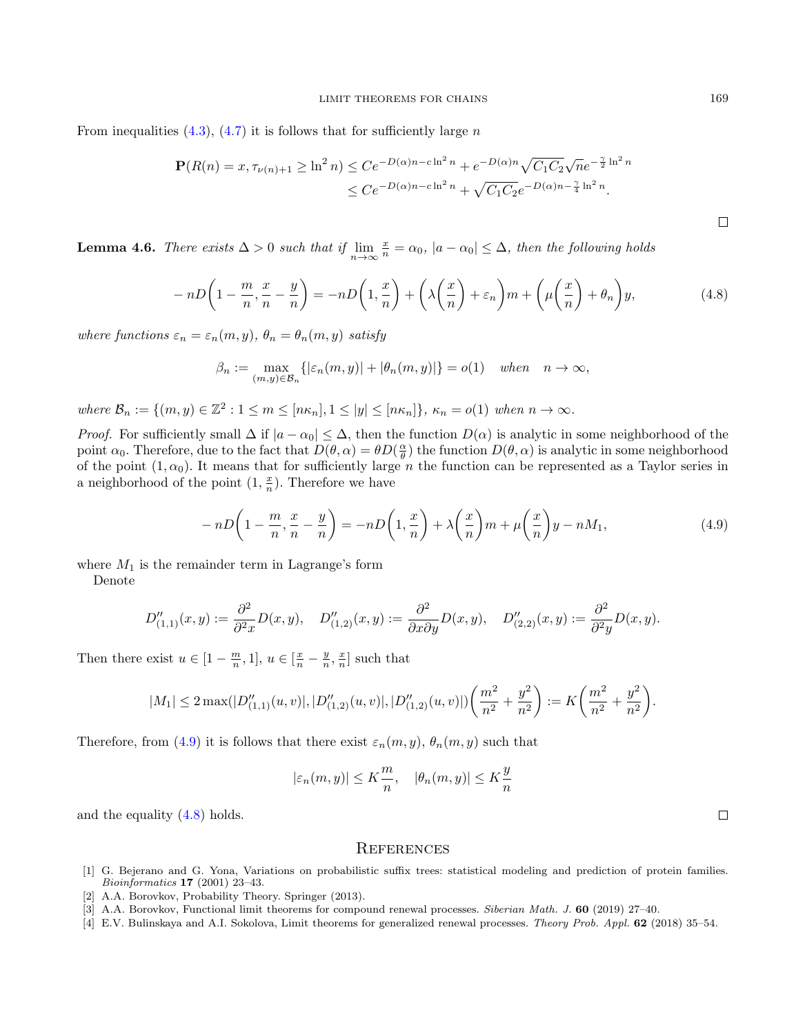From inequalities  $(4.3)$ ,  $(4.7)$  it is follows that for sufficiently large n

$$
\mathbf{P}(R(n) = x, \tau_{\nu(n)+1} \ge \ln^2 n) \le C e^{-D(\alpha)n - c\ln^2 n} + e^{-D(\alpha)n} \sqrt{C_1 C_2} \sqrt{n} e^{-\frac{\gamma}{2}\ln^2 n}
$$
  

$$
\le C e^{-D(\alpha)n - c\ln^2 n} + \sqrt{C_1 C_2} e^{-D(\alpha)n - \frac{\gamma}{4}\ln^2 n}.
$$

<span id="page-17-4"></span>**Lemma 4.6.** There exists  $\Delta > 0$  such that if  $\lim_{n \to \infty} \frac{x}{n} = \alpha_0$ ,  $|a - \alpha_0| \leq \Delta$ , then the following holds

<span id="page-17-6"></span>
$$
-nD\left(1-\frac{m}{n},\frac{x}{n}-\frac{y}{n}\right)=-nD\left(1,\frac{x}{n}\right)+\left(\lambda\left(\frac{x}{n}\right)+\varepsilon_n\right)m+\left(\mu\left(\frac{x}{n}\right)+\theta_n\right)y,\tag{4.8}
$$

where functions  $\varepsilon_n = \varepsilon_n(m, y)$ ,  $\theta_n = \theta_n(m, y)$  satisfy

$$
\beta_n := \max_{(m,y)\in\mathcal{B}_n} \{ |\varepsilon_n(m,y)| + |\theta_n(m,y)| \} = o(1) \quad when \quad n \to \infty,
$$

where  $\mathcal{B}_n := \{(m, y) \in \mathbb{Z}^2 : 1 \leq m \leq [n\kappa_n], 1 \leq |y| \leq [n\kappa_n] \}, \kappa_n = o(1)$  when  $n \to \infty$ .

*Proof.* For sufficiently small  $\Delta$  if  $|a - \alpha_0| \leq \Delta$ , then the function  $D(\alpha)$  is analytic in some neighborhood of the point  $\alpha_0$ . Therefore, due to the fact that  $D(\theta, \alpha) = \theta D(\frac{\alpha}{\theta})$  the function  $D(\theta, \alpha)$  is analytic in some neighborhood of the point  $(1, \alpha_0)$ . It means that for sufficiently large n the function can be represented as a Taylor series in a neighborhood of the point  $(1, \frac{x}{n})$ . Therefore we have

<span id="page-17-5"></span>
$$
-nD\left(1-\frac{m}{n},\frac{x}{n}-\frac{y}{n}\right)=-nD\left(1,\frac{x}{n}\right)+\lambda\left(\frac{x}{n}\right)m+\mu\left(\frac{x}{n}\right)y-nM_1,\tag{4.9}
$$

where  $M_1$  is the remainder term in Lagrange's form

Denote

$$
D_{(1,1)}^{\prime\prime}(x,y):=\frac{\partial^2}{\partial^2 x}D(x,y),\quad D_{(1,2)}^{\prime\prime}(x,y):=\frac{\partial^2}{\partial x\partial y}D(x,y),\quad D_{(2,2)}^{\prime\prime}(x,y):=\frac{\partial^2}{\partial^2 y}D(x,y).
$$

Then there exist  $u \in [1 - \frac{m}{n}, 1], u \in [\frac{x}{n} - \frac{y}{n}, \frac{x}{n}]$  such that

$$
|M_1| \le 2 \max(|D''_{(1,1)}(u,v)|, |D''_{(1,2)}(u,v)|, |D''_{(1,2)}(u,v)|) \left(\frac{m^2}{n^2} + \frac{y^2}{n^2}\right) := K\left(\frac{m^2}{n^2} + \frac{y^2}{n^2}\right).
$$

Therefore, from [\(4.9\)](#page-17-5) it is follows that there exist  $\varepsilon_n(m, y)$ ,  $\theta_n(m, y)$  such that

$$
|\varepsilon_n(m,y)| \le K\frac{m}{n}, \quad |\theta_n(m,y)| \le K\frac{y}{n}
$$

and the equality [\(4.8\)](#page-17-6) holds.

#### **REFERENCES**

- <span id="page-17-0"></span>[1] G. Bejerano and G. Yona, Variations on probabilistic suffix trees: statistical modeling and prediction of protein families. Bioinformatics 17 (2001) 23–43.
- <span id="page-17-1"></span>[2] A.A. Borovkov, Probability Theory. Springer (2013).
- <span id="page-17-3"></span>[3] A.A. Borovkov, Functional limit theorems for compound renewal processes. Siberian Math. J. 60 (2019) 27-40.
- <span id="page-17-2"></span>[4] E.V. Bulinskaya and A.I. Sokolova, Limit theorems for generalized renewal processes. Theory Prob. Appl. 62 (2018) 35–54.

 $\Box$